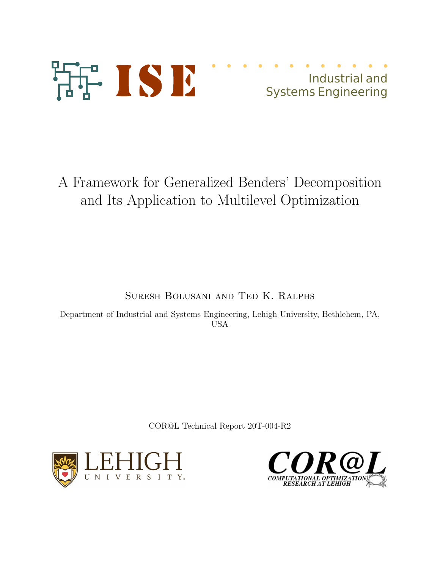

# Industrial and Systems Engineering

A Framework for Generalized Benders' Decomposition and Its Application to Multilevel Optimization

Suresh Bolusani and Ted K. Ralphs

Department of Industrial and Systems Engineering, Lehigh University, Bethlehem, PA, USA

COR@L Technical Report 20T-004-R2



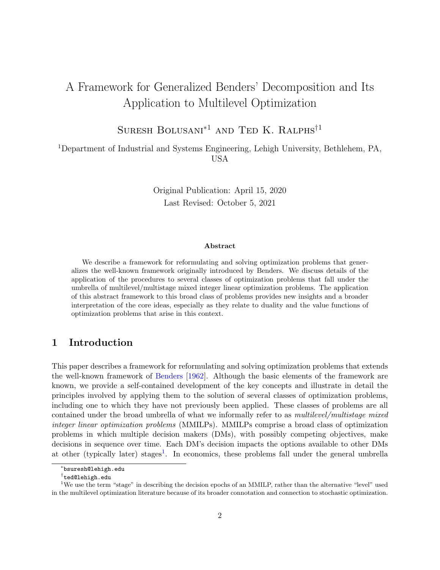## A Framework for Generalized Benders' Decomposition and Its Application to Multilevel Optimization

SURESH BOLUSANI<sup>\*1</sup> AND TED K. RALPHS<sup>†1</sup>

<sup>1</sup>Department of Industrial and Systems Engineering, Lehigh University, Bethlehem, PA, USA

> Original Publication: April 15, 2020 Last Revised: October 5, 2021

#### Abstract

We describe a framework for reformulating and solving optimization problems that generalizes the well-known framework originally introduced by Benders. We discuss details of the application of the procedures to several classes of optimization problems that fall under the umbrella of multilevel/multistage mixed integer linear optimization problems. The application of this abstract framework to this broad class of problems provides new insights and a broader interpretation of the core ideas, especially as they relate to duality and the value functions of optimization problems that arise in this context.

## 1 Introduction

This paper describes a framework for reformulating and solving optimization problems that extends the well-known framework of [Benders](#page-35-0) [\[1962\]](#page-35-0). Although the basic elements of the framework are known, we provide a self-contained development of the key concepts and illustrate in detail the principles involved by applying them to the solution of several classes of optimization problems, including one to which they have not previously been applied. These classes of problems are all contained under the broad umbrella of what we informally refer to as multilevel/multistage mixed integer linear optimization problems (MMILPs). MMILPs comprise a broad class of optimization problems in which multiple decision makers (DMs), with possibly competing objectives, make decisions in sequence over time. Each DM's decision impacts the options available to other DMs at other (typically later) stages<sup>[1](#page-1-0)</sup>. In economics, these problems fall under the general umbrella

<sup>∗</sup> bsuresh@lehigh.edu

<span id="page-1-0"></span><sup>†</sup> ted@lehigh.edu

<sup>1</sup>We use the term "stage" in describing the decision epochs of an MMILP, rather than the alternative "level" used in the multilevel optimization literature because of its broader connotation and connection to stochastic optimization.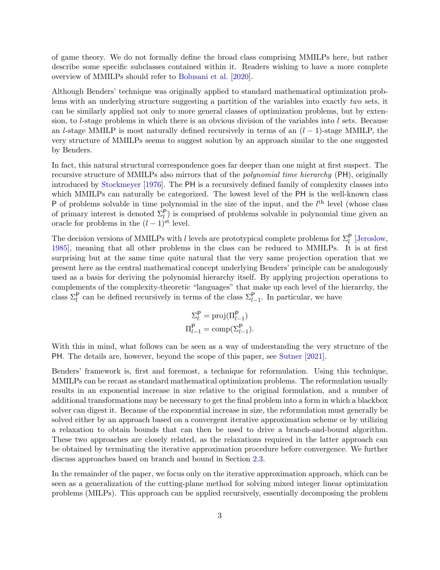of game theory. We do not formally define the broad class comprising MMILPs here, but rather describe some specific subclasses contained within it. Readers wishing to have a more complete overview of MMILPs should refer to [Bolusani et al.](#page-35-1) [\[2020\]](#page-35-1).

Although Benders' technique was originally applied to standard mathematical optimization problems with an underlying structure suggesting a partition of the variables into exactly two sets, it can be similarly applied not only to more general classes of optimization problems, but by extension, to l-stage problems in which there is an obvious division of the variables into l sets. Because an l-stage MMILP is most naturally defined recursively in terms of an  $(l-1)$ -stage MMILP, the very structure of MMILPs seems to suggest solution by an approach similar to the one suggested by Benders.

In fact, this natural structural correspondence goes far deeper than one might at first suspect. The recursive structure of MMILPs also mirrors that of the polynomial time hierarchy (PH), originally introduced by [Stockmeyer](#page-38-0) [\[1976\]](#page-38-0). The PH is a recursively defined family of complexity classes into which MMILPs can naturally be categorized. The lowest level of the PH is the well-known class P of problems solvable in time polynomial in the size of the input, and the  $l<sup>th</sup>$  level (whose class of primary interest is denoted  $\Sigma_l^{\mathsf{P}}$  is comprised of problems solvable in polynomial time given an oracle for problems in the  $(l-1)$ <sup>st</sup> level.

The decision versions of MMILPs with l levels are prototypical complete problems for  $\Sigma_l^{\mathsf{P}}$  [\[Jeroslow,](#page-37-0) [1985\]](#page-37-0), meaning that all other problems in the class can be reduced to MMILPs. It is at first surprising but at the same time quite natural that the very same projection operation that we present here as the central mathematical concept underlying Benders' principle can be analogously used as a basis for deriving the polynomial hierarchy itself. By applying projection operations to complements of the complexity-theoretic "languages" that make up each level of the hierarchy, the class  $\Sigma_l^{\mathsf{P}}$  can be defined recursively in terms of the class  $\Sigma_{l-1}^{\mathsf{P}}$ . In particular, we have

$$
\Sigma_l^{\mathsf{P}} = \text{proj}(\Pi_{l-1}^{\mathsf{P}})
$$

$$
\Pi_{l-1}^{\mathsf{P}} = \text{comp}(\Sigma_{l-1}^{\mathsf{P}}).
$$

With this in mind, what follows can be seen as a way of understanding the very structure of the PH. The details are, however, beyond the scope of this paper, see [Sutner](#page-38-1) [\[2021\]](#page-38-1).

Benders' framework is, first and foremost, a technique for reformulation. Using this technique, MMILPs can be recast as standard mathematical optimization problems. The reformulation usually results in an exponential increase in size relative to the original formulation, and a number of additional transformations may be necessary to get the final problem into a form in which a blackbox solver can digest it. Because of the exponential increase in size, the reformulation must generally be solved either by an approach based on a convergent iterative approximation scheme or by utilizing a relaxation to obtain bounds that can then be used to drive a branch-and-bound algorithm. These two approaches are closely related, as the relaxations required in the latter approach can be obtained by terminating the iterative approximation procedure before convergence. We further discuss approaches based on branch and bound in Section [2.3.](#page-10-0)

In the remainder of the paper, we focus only on the iterative approximation approach, which can be seen as a generalization of the cutting-plane method for solving mixed integer linear optimization problems (MILPs). This approach can be applied recursively, essentially decomposing the problem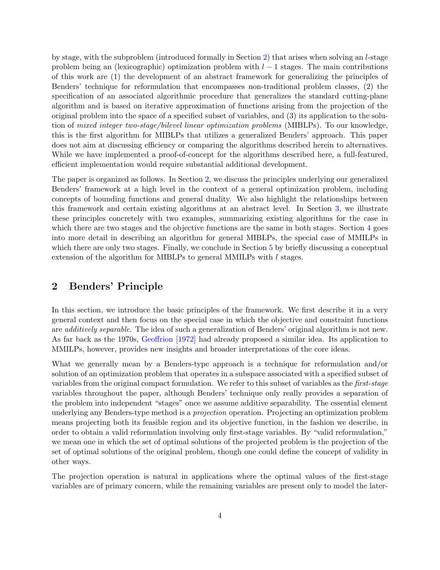by stage, with the subproblem (introduced formally in Section [2\)](#page-3-0) that arises when solving an l-stage problem being an (lexicographic) optimization problem with  $l-1$  stages. The main contributions of this work are (1) the development of an abstract framework for generalizing the principles of Benders' technique for reformulation that encompasses non-traditional problem classes, (2) the specification of an associated algorithmic procedure that generalizes the standard cutting-plane algorithm and is based on iterative approximation of functions arising from the projection of the original problem into the space of a specified subset of variables, and (3) its application to the solution of mixed integer two-stage/bilevel linear optimization problems (MIBLPs). To our knowledge, this is the first algorithm for MIBLPs that utilizes a generalized Benders' approach. This paper does not aim at discussing efficiency or comparing the algorithms described herein to alternatives. While we have implemented a proof-of-concept for the algorithms described here, a full-featured, efficient implementation would require substantial additional development.

The paper is organized as follows. In Section [2,](#page-3-0) we discuss the principles underlying our generalized Benders' framework at a high level in the context of a general optimization problem, including concepts of bounding functions and general duality. We also highlight the relationships between this framework and certain existing algorithms at an abstract level. In Section [3,](#page-11-0) we illustrate these principles concretely with two examples, summarizing existing algorithms for the case in which there are two stages and the objective functions are the same in both stages. Section [4](#page-19-0) goes into more detail in describing an algorithm for general MIBLPs, the special case of MMILPs in which there are only two stages. Finally, we conclude in Section [5](#page-33-0) by briefly discussing a conceptual extension of the algorithm for MIBLPs to general MMILPs with l stages.

## <span id="page-3-0"></span>2 Benders' Principle

In this section, we introduce the basic principles of the framework. We first describe it in a very general context and then focus on the special case in which the objective and constraint functions are *additively separable*. The idea of such a generalization of Benders' original algorithm is not new. As far back as the 1970s, [Geoffrion](#page-36-0) [\[1972\]](#page-36-0) had already proposed a similar idea. Its application to MMILPs, however, provides new insights and broader interpretations of the core ideas.

What we generally mean by a Benders-type approach is a technique for reformulation and/or solution of an optimization problem that operates in a subspace associated with a specified subset of variables from the original compact formulation. We refer to this subset of variables as the first-stage variables throughout the paper, although Benders' technique only really provides a separation of the problem into independent "stages" once we assume additive separability. The essential element underlying any Benders-type method is a projection operation. Projecting an optimization problem means projecting both its feasible region and its objective function, in the fashion we describe, in order to obtain a valid reformulation involving only first-stage variables. By "valid reformulation," we mean one in which the set of optimal solutions of the projected problem is the projection of the set of optimal solutions of the original problem, though one could define the concept of validity in other ways.

The projection operation is natural in applications where the optimal values of the first-stage variables are of primary concern, while the remaining variables are present only to model the later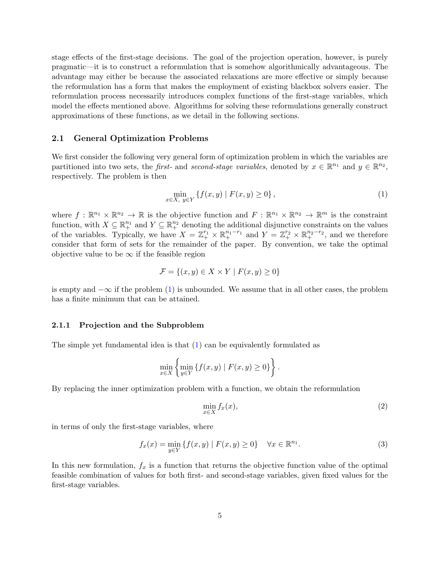stage effects of the first-stage decisions. The goal of the projection operation, however, is purely pragmatic—it is to construct a reformulation that is somehow algorithmically advantageous. The advantage may either be because the associated relaxations are more effective or simply because the reformulation has a form that makes the employment of existing blackbox solvers easier. The reformulation process necessarily introduces complex functions of the first-stage variables, which model the effects mentioned above. Algorithms for solving these reformulations generally construct approximations of these functions, as we detail in the following sections.

#### <span id="page-4-3"></span>2.1 General Optimization Problems

We first consider the following very general form of optimization problem in which the variables are partitioned into two sets, the *first*- and *second-stage variables*, denoted by  $x \in \mathbb{R}^{n_1}$  and  $y \in \mathbb{R}^{n_2}$ , respectively. The problem is then

<span id="page-4-0"></span>
$$
\min_{x \in X, y \in Y} \{ f(x, y) \mid F(x, y) \ge 0 \},\tag{1}
$$

where  $f: \mathbb{R}^{n_1} \times \mathbb{R}^{n_2} \to \mathbb{R}$  is the objective function and  $F: \mathbb{R}^{n_1} \times \mathbb{R}^{n_2} \to \mathbb{R}^m$  is the constraint function, with  $X \subseteq \mathbb{R}^{n_1}$  and  $Y \subseteq \mathbb{R}^{n_2}$  denoting the additional disjunctive constraints on the values of the variables. Typically, we have  $X = \mathbb{Z}_+^{r_1} \times \mathbb{R}_+^{n_1-r_1}$  and  $Y = \mathbb{Z}_+^{r_2} \times \mathbb{R}_+^{n_2-r_2}$ , and we therefore consider that form of sets for the remainder of the paper. By convention, we take the optimal objective value to be  $\infty$  if the feasible region

$$
\mathcal{F} = \{(x, y) \in X \times Y \mid F(x, y) \ge 0\}
$$

is empty and  $-\infty$  if the problem [\(1\)](#page-4-0) is unbounded. We assume that in all other cases, the problem has a finite minimum that can be attained.

#### 2.1.1 Projection and the Subproblem

The simple yet fundamental idea is that  $(1)$  can be equivalently formulated as

$$
\min_{x \in X} \left\{ \min_{y \in Y} \left\{ f(x, y) \mid F(x, y) \ge 0 \right\} \right\}.
$$

By replacing the inner optimization problem with a function, we obtain the reformulation

<span id="page-4-1"></span>
$$
\min_{x \in X} f_x(x),\tag{2}
$$

in terms of only the first-stage variables, where

<span id="page-4-2"></span>
$$
f_x(x) = \min_{y \in Y} \{ f(x, y) \mid F(x, y) \ge 0 \} \quad \forall x \in \mathbb{R}^{n_1}.
$$
 (3)

In this new formulation,  $f_x$  is a function that returns the objective function value of the optimal feasible combination of values for both first- and second-stage variables, given fixed values for the first-stage variables.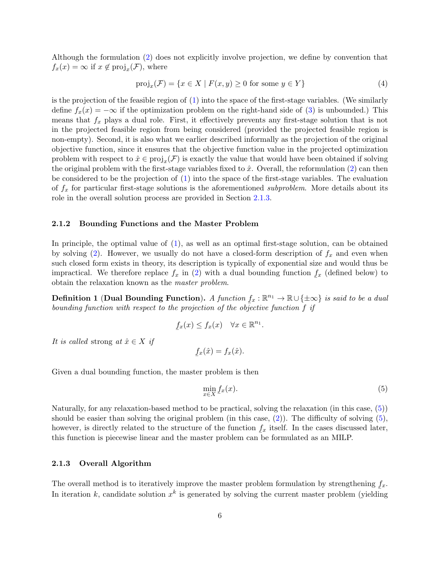Although the formulation [\(2\)](#page-4-1) does not explicitly involve projection, we define by convention that  $f_x(x) = \infty$  if  $x \notin \text{proj}_x(\mathcal{F})$ , where

<span id="page-5-2"></span>
$$
\text{proj}_x(\mathcal{F}) = \{ x \in X \mid F(x, y) \ge 0 \text{ for some } y \in Y \}
$$
\n<sup>(4)</sup>

is the projection of the feasible region of  $(1)$  into the space of the first-stage variables. (We similarly define  $f_x(x) = -\infty$  if the optimization problem on the right-hand side of [\(3\)](#page-4-2) is unbounded.) This means that  $f_x$  plays a dual role. First, it effectively prevents any first-stage solution that is not in the projected feasible region from being considered (provided the projected feasible region is non-empty). Second, it is also what we earlier described informally as the projection of the original objective function, since it ensures that the objective function value in the projected optimization problem with respect to  $\hat{x} \in \text{proj}_x(\mathcal{F})$  is exactly the value that would have been obtained if solving the original problem with the first-stage variables fixed to  $\hat{x}$ . Overall, the reformulation [\(2\)](#page-4-1) can then be considered to be the projection of [\(1\)](#page-4-0) into the space of the first-stage variables. The evaluation of  $f_x$  for particular first-stage solutions is the aforementioned *subproblem*. More details about its role in the overall solution process are provided in Section [2.1.3.](#page-5-0)

#### 2.1.2 Bounding Functions and the Master Problem

In principle, the optimal value of [\(1\)](#page-4-0), as well as an optimal first-stage solution, can be obtained by solving [\(2\)](#page-4-1). However, we usually do not have a closed-form description of  $f_x$  and even when such closed form exists in theory, its description is typically of exponential size and would thus be impractical. We therefore replace  $f_x$  in [\(2\)](#page-4-1) with a dual bounding function  $rac{v}{\sqrt{2}}$  $f_x$  (defined below) to obtain the relaxation known as the master problem.

Definition 1 (Dual Bounding Function). A function  $f_x : \mathbb{R}^{n_1} \to \mathbb{R} \cup \{\pm \infty\}$  is said to be a dual bounding function with respect to the projection of the objective function  $\overline{f}$  if

<span id="page-5-1"></span>
$$
f_x(x) \le f_x(x) \quad \forall x \in \mathbb{R}^{n_1}.
$$

It is called strong at  $\hat{x} \in X$  if

$$
\underline{f}_x(\hat{x}) = f_x(\hat{x}).
$$

Given a dual bounding function, the master problem is then

$$
\min_{x \in X} \underline{f}_x(x). \tag{5}
$$

Naturally, for any relaxation-based method to be practical, solving the relaxation (in this case, [\(5\)](#page-5-1)) should be easier than solving the original problem (in this case,  $(2)$ ). The difficulty of solving  $(5)$ , however, is directly related to the structure of the function  $f_x$  itself. In the cases discussed later, this function is piecewise linear and the master problem can be formulated as an MILP.

#### <span id="page-5-0"></span>2.1.3 Overall Algorithm

The overall method is to iteratively improve the master problem formulation by strengthening  $f_x$ . In iteration k, candidate solution  $x^k$  is generated by solving the current master problem (yielding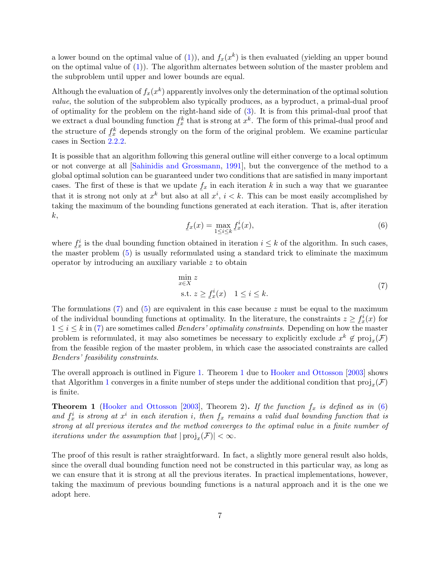a lower bound on the optimal value of [\(1\)](#page-4-0)), and  $f_x(x^k)$  is then evaluated (yielding an upper bound on the optimal value of [\(1\)](#page-4-0)). The algorithm alternates between solution of the master problem and the subproblem until upper and lower bounds are equal.

Although the evaluation of  $f_x(x^k)$  apparently involves only the determination of the optimal solution value, the solution of the subproblem also typically produces, as a byproduct, a primal-dual proof of optimality for the problem on the right-hand side of [\(3\)](#page-4-2). It is from this primal-dual proof that we extract a dual bounding function  $\frac{f_k}{x}$  that is strong at  $x^k$ . The form of this primal-dual proof and the structure of  $f_x^k$  depends strongly on the form of the original problem. We examine particular cases in Section  $\frac{2}{2.2.2}$ .

It is possible that an algorithm following this general outline will either converge to a local optimum or not converge at all [\[Sahinidis and Grossmann,](#page-38-2) [1991\]](#page-38-2), but the convergence of the method to a global optimal solution can be guaranteed under two conditions that are satisfied in many important cases. The first of these is that we update  $f_x$  in each iteration k in such a way that we guarantee that it is strong not only at  $x^k$  but also at all  $x^i$ ,  $i < k$ . This can be most easily accomplished by taking the maximum of the bounding functions generated at each iteration. That is, after iteration k,

<span id="page-6-2"></span>
$$
\underline{f}_x(x) = \max_{1 \le i \le k} \underline{f}_x^i(x),\tag{6}
$$

where  $\underline{f}_x^i$  is the dual bounding function obtained in iteration  $i \leq k$  of the algorithm. In such cases, the master problem [\(5\)](#page-5-1) is usually reformulated using a standard trick to eliminate the maximum operator by introducing an auxiliary variable z to obtain

<span id="page-6-0"></span>
$$
\min_{x \in X} z
$$
  
s.t.  $z \ge f_x^i(x)$  1 \le i \le k. (7)

The formulations  $(7)$  and  $(5)$  are equivalent in this case because z must be equal to the maximum of the individual bounding functions at optimality. In the literature, the constraints  $z \geq \underline{f}_x^i(x)$  for  $1 \leq i \leq k$  in [\(7\)](#page-6-0) are sometimes called *Benders' optimality constraints*. Depending on how the master problem is reformulated, it may also sometimes be necessary to explicitly exclude  $x^k \notin \text{proj}_x(\mathcal{F})$ from the feasible region of the master problem, in which case the associated constraints are called Benders' feasibility constraints.

The overall approach is outlined in Figure [1.](#page-7-0) Theorem [1](#page-6-1) due to [Hooker and Ottosson](#page-37-1) [\[2003\]](#page-37-1) shows that Algorithm [1](#page-7-0) converges in a finite number of steps under the additional condition that  $\text{proj}_x(\mathcal{F})$ is finite.

<span id="page-6-1"></span>**Theorem 1** [\(Hooker and Ottosson](#page-37-1) [\[2003\]](#page-37-1), Theorem 2). If the function  $f_x$  is defined as in [\(6\)](#page-6-2) and  $f_x^i$  is strong at  $x^i$  in each iteration i, then  $f_x$  remains a valid dual bounding function that is strong at all previous iterates and the method converges to the optimal value in a finite number of iterations under the assumption that  $|\text{proj}_x(\mathcal{F})| < \infty$ .

The proof of this result is rather straightforward. In fact, a slightly more general result also holds, since the overall dual bounding function need not be constructed in this particular way, as long as we can ensure that it is strong at all the previous iterates. In practical implementations, however, taking the maximum of previous bounding functions is a natural approach and it is the one we adopt here.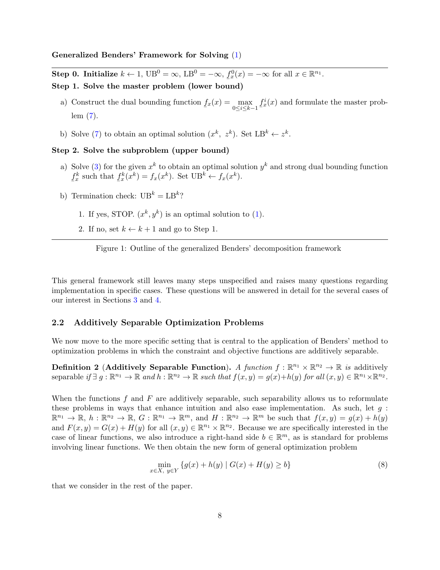<span id="page-7-0"></span>Generalized Benders' Framework for Solving [\(1\)](#page-4-0)

Step 0. Initialize  $k \leftarrow 1$ ,  $UB^0 = \infty$ ,  $LB^0 = -\infty$ ,  $f_x^0(x) = -\infty$  for all  $x \in \mathbb{R}^{n_1}$ .

- Step 1. Solve the master problem (lower bound)
	- a) Construct the dual bounding function  $rac{v}{\sqrt{2}}$  $f_x(x) = \max_{x \in \mathcal{X}}$  $0 \leq i \leq k-1$   $\leq$  $f_x^i(x)$  and formulate the master problem [\(7\)](#page-6-0).
	- b) Solve [\(7\)](#page-6-0) to obtain an optimal solution  $(x^k, z^k)$ . Set  $LB^k \leftarrow z^k$ .

#### Step 2. Solve the subproblem (upper bound)

- a) Solve [\(3\)](#page-4-2) for the given  $x^k$  to obtain an optimal solution  $y^k$  and strong dual bounding function  $rac{v}{\sqrt{2}}$  $\underline{f}_x^k$  such that  $rac{v}{\sqrt{2}}$  $f_x^k(x^k) = f_x(x^k)$ . Set UB<sup>k</sup>  $\leftarrow$   $f_x(x^k)$ .
- b) Termination check:  $UB^k = LB^k$ ?
	- 1. If yes, STOP.  $(x^k, y^k)$  is an optimal solution to [\(1\)](#page-4-0).
	- 2. If no, set  $k \leftarrow k + 1$  and go to Step 1.

Figure 1: Outline of the generalized Benders' decomposition framework

This general framework still leaves many steps unspecified and raises many questions regarding implementation in specific cases. These questions will be answered in detail for the several cases of our interest in Sections [3](#page-11-0) and [4.](#page-19-0)

#### <span id="page-7-2"></span>2.2 Additively Separable Optimization Problems

We now move to the more specific setting that is central to the application of Benders' method to optimization problems in which the constraint and objective functions are additively separable.

**Definition 2 (Additively Separable Function).** A function  $f : \mathbb{R}^{n_1} \times \mathbb{R}^{n_2} \to \mathbb{R}$  is additively separable if  $\exists g : \mathbb{R}^{n_1} \to \mathbb{R}$  and  $h : \mathbb{R}^{n_2} \to \mathbb{R}$  such that  $f(x, y) = g(x) + h(y)$  for all  $(x, y) \in \mathbb{R}^{n_1} \times \mathbb{R}^{n_2}$ .

When the functions  $f$  and  $F$  are additively separable, such separability allows us to reformulate these problems in ways that enhance intuition and also ease implementation. As such, let  $q$ :  $\mathbb{R}^{n_1} \to \mathbb{R}, h : \mathbb{R}^{n_2} \to \mathbb{R}, G : \mathbb{R}^{n_1} \to \mathbb{R}^m$ , and  $H : \mathbb{R}^{n_2} \to \mathbb{R}^m$  be such that  $f(x, y) = g(x) + h(y)$ and  $F(x, y) = G(x) + H(y)$  for all  $(x, y) \in \mathbb{R}^{n_1} \times \mathbb{R}^{n_2}$ . Because we are specifically interested in the case of linear functions, we also introduce a right-hand side  $b \in \mathbb{R}^m$ , as is standard for problems involving linear functions. We then obtain the new form of general optimization problem

<span id="page-7-1"></span>
$$
\min_{x \in X, y \in Y} \{ g(x) + h(y) \mid G(x) + H(y) \ge b \}
$$
\n(8)

that we consider in the rest of the paper.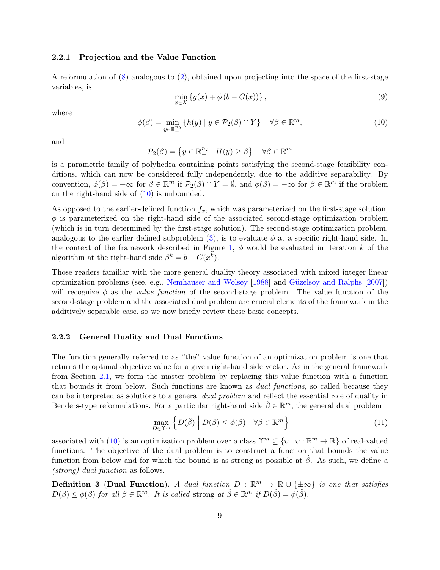#### 2.2.1 Projection and the Value Function

A reformulation of [\(8\)](#page-7-1) analogous to [\(2\)](#page-4-1), obtained upon projecting into the space of the first-stage variables, is

<span id="page-8-3"></span>
$$
\min_{x \in X} \left\{ g(x) + \phi \left( b - G(x) \right) \right\},\tag{9}
$$

where

<span id="page-8-1"></span>
$$
\phi(\beta) = \min_{y \in \mathbb{R}_+^{n_2}} \{ h(y) \mid y \in \mathcal{P}_2(\beta) \cap Y \} \quad \forall \beta \in \mathbb{R}^m,
$$
\n(10)

and

$$
\mathcal{P}_2(\beta) = \left\{ y \in \mathbb{R}_+^{n_2} \middle| H(y) \ge \beta \right\} \quad \forall \beta \in \mathbb{R}^m
$$

is a parametric family of polyhedra containing points satisfying the second-stage feasibility conditions, which can now be considered fully independently, due to the additive separability. By convention,  $\phi(\beta) = +\infty$  for  $\beta \in \mathbb{R}^m$  if  $\mathcal{P}_2(\beta) \cap Y = \emptyset$ , and  $\phi(\beta) = -\infty$  for  $\beta \in \mathbb{R}^m$  if the problem on the right-hand side of [\(10\)](#page-8-1) is unbounded.

As opposed to the earlier-defined function  $f_x$ , which was parameterized on the first-stage solution,  $\phi$  is parameterized on the right-hand side of the associated second-stage optimization problem (which is in turn determined by the first-stage solution). The second-stage optimization problem, analogous to the earlier defined subproblem [\(3\)](#page-4-2), is to evaluate  $\phi$  at a specific right-hand side. In the context of the framework described in Figure [1,](#page-7-0)  $\phi$  would be evaluated in iteration k of the algorithm at the right-hand side  $\beta^k = b - G(x^k)$ .

Those readers familiar with the more general duality theory associated with mixed integer linear optimization problems (see, e.g., [Nemhauser and Wolsey](#page-37-2) [\[1988\]](#page-37-2) and Güzelsoy and Ralphs [\[2007\]](#page-36-1)) will recognize  $\phi$  as the *value function* of the second-stage problem. The value function of the second-stage problem and the associated dual problem are crucial elements of the framework in the additively separable case, so we now briefly review these basic concepts.

#### <span id="page-8-0"></span>2.2.2 General Duality and Dual Functions

The function generally referred to as "the" value function of an optimization problem is one that returns the optimal objective value for a given right-hand side vector. As in the general framework from Section [2.1,](#page-4-3) we form the master problem by replacing this value function with a function that bounds it from below. Such functions are known as dual functions, so called because they can be interpreted as solutions to a general dual problem and reflect the essential role of duality in Benders-type reformulations. For a particular right-hand side  $\hat{\beta} \in \mathbb{R}^m$ , the general dual problem

<span id="page-8-2"></span>
$$
\max_{D \in \Upsilon^m} \left\{ D(\hat{\beta}) \middle| D(\beta) \le \phi(\beta) \quad \forall \beta \in \mathbb{R}^m \right\} \tag{11}
$$

associated with [\(10\)](#page-8-1) is an optimization problem over a class  $\Upsilon^m \subseteq \{v \mid v : \mathbb{R}^m \to \mathbb{R}\}\$  of real-valued functions. The objective of the dual problem is to construct a function that bounds the value function from below and for which the bound is as strong as possible at  $\beta$ . As such, we define a (strong) dual function as follows.

**Definition 3** (Dual Function). A dual function  $D : \mathbb{R}^m \to \mathbb{R} \cup {\pm \infty}$  is one that satisfies  $D(\beta) \leq \phi(\beta)$  for all  $\beta \in \mathbb{R}^m$ . It is called strong at  $\hat{\beta} \in \mathbb{R}^m$  if  $D(\hat{\beta}) = \phi(\hat{\beta})$ .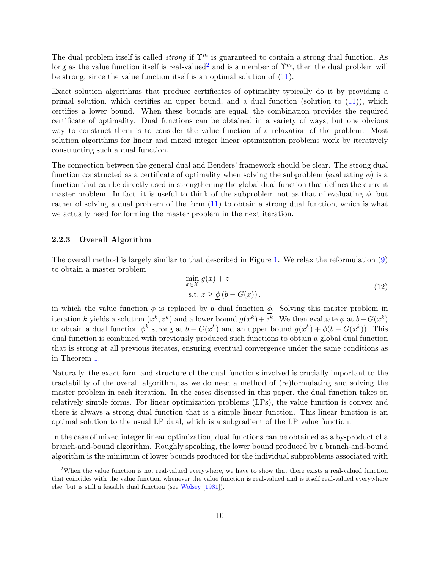The dual problem itself is called *strong* if  $\Upsilon^m$  is guaranteed to contain a strong dual function. As long as the value function itself is real-valued<sup>[2](#page-9-0)</sup> and is a member of  $\Upsilon^m$ , then the dual problem will be strong, since the value function itself is an optimal solution of [\(11\)](#page-8-2).

Exact solution algorithms that produce certificates of optimality typically do it by providing a primal solution, which certifies an upper bound, and a dual function (solution to  $(11)$ ), which certifies a lower bound. When these bounds are equal, the combination provides the required certificate of optimality. Dual functions can be obtained in a variety of ways, but one obvious way to construct them is to consider the value function of a relaxation of the problem. Most solution algorithms for linear and mixed integer linear optimization problems work by iteratively constructing such a dual function.

The connection between the general dual and Benders' framework should be clear. The strong dual function constructed as a certificate of optimality when solving the subproblem (evaluating  $\phi$ ) is a function that can be directly used in strengthening the global dual function that defines the current master problem. In fact, it is useful to think of the subproblem not as that of evaluating  $\phi$ , but rather of solving a dual problem of the form [\(11\)](#page-8-2) to obtain a strong dual function, which is what we actually need for forming the master problem in the next iteration.

#### 2.2.3 Overall Algorithm

The overall method is largely similar to that described in Figure [1.](#page-7-0) We relax the reformulation [\(9\)](#page-8-3) to obtain a master problem

<span id="page-9-1"></span>
$$
\min_{x \in X} g(x) + z
$$
  
s.t.  $z \ge \phi(b - G(x)),$  (12)

in which the value function  $\phi$  is replaced by a dual function  $\phi$ . Solving this master problem in iteration k yields a solution  $(x^k, z^k)$  and a lower bound  $g(x^k) + z^k$ . We then evaluate  $\phi$  at  $b - G(x^k)$ to obtain a dual function  $\phi^k$  strong at  $b - G(x^k)$  and an upper bound  $g(x^k) + \phi(b - G(x^k))$ . This dual function is combined with previously produced such functions to obtain a global dual function that is strong at all previous iterates, ensuring eventual convergence under the same conditions as in Theorem [1.](#page-6-1)

Naturally, the exact form and structure of the dual functions involved is crucially important to the tractability of the overall algorithm, as we do need a method of (re)formulating and solving the master problem in each iteration. In the cases discussed in this paper, the dual function takes on relatively simple forms. For linear optimization problems (LPs), the value function is convex and there is always a strong dual function that is a simple linear function. This linear function is an optimal solution to the usual LP dual, which is a subgradient of the LP value function.

In the case of mixed integer linear optimization, dual functions can be obtained as a by-product of a branch-and-bound algorithm. Roughly speaking, the lower bound produced by a branch-and-bound algorithm is the minimum of lower bounds produced for the individual subproblems associated with

<span id="page-9-0"></span><sup>2</sup>When the value function is not real-valued everywhere, we have to show that there exists a real-valued function that coincides with the value function whenever the value function is real-valued and is itself real-valued everywhere else, but is still a feasible dual function (see [Wolsey](#page-38-3) [\[1981\]](#page-38-3)).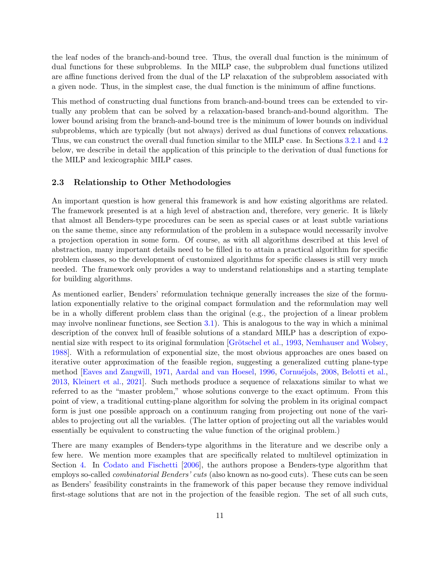the leaf nodes of the branch-and-bound tree. Thus, the overall dual function is the minimum of dual functions for these subproblems. In the MILP case, the subproblem dual functions utilized are affine functions derived from the dual of the LP relaxation of the subproblem associated with a given node. Thus, in the simplest case, the dual function is the minimum of affine functions.

This method of constructing dual functions from branch-and-bound trees can be extended to virtually any problem that can be solved by a relaxation-based branch-and-bound algorithm. The lower bound arising from the branch-and-bound tree is the minimum of lower bounds on individual subproblems, which are typically (but not always) derived as dual functions of convex relaxations. Thus, we can construct the overall dual function similar to the MILP case. In Sections [3.2.1](#page-14-0) and [4.2](#page-22-0) below, we describe in detail the application of this principle to the derivation of dual functions for the MILP and lexicographic MILP cases.

#### <span id="page-10-0"></span>2.3 Relationship to Other Methodologies

An important question is how general this framework is and how existing algorithms are related. The framework presented is at a high level of abstraction and, therefore, very generic. It is likely that almost all Benders-type procedures can be seen as special cases or at least subtle variations on the same theme, since any reformulation of the problem in a subspace would necessarily involve a projection operation in some form. Of course, as with all algorithms described at this level of abstraction, many important details need to be filled in to attain a practical algorithm for specific problem classes, so the development of customized algorithms for specific classes is still very much needed. The framework only provides a way to understand relationships and a starting template for building algorithms.

As mentioned earlier, Benders' reformulation technique generally increases the size of the formulation exponentially relative to the original compact formulation and the reformulation may well be in a wholly different problem class than the original (e.g., the projection of a linear problem may involve nonlinear functions, see Section [3.1\)](#page-12-0). This is analogous to the way in which a minimal description of the convex hull of feasible solutions of a standard MILP has a description of expo-nential size with respect to its original formulation [Grötschel et al., [1993,](#page-36-2) [Nemhauser and Wolsey,](#page-37-2) [1988\]](#page-37-2). With a reformulation of exponential size, the most obvious approaches are ones based on iterative outer approximation of the feasible region, suggesting a generalized cutting plane-type method [\[Eaves and Zangwill,](#page-36-3) [1971,](#page-36-3) [Aardal and van Hoesel,](#page-34-0) [1996,](#page-34-0) Cornuéjols, [2008,](#page-35-2) [Belotti et al.,](#page-35-3) [2013,](#page-35-3) [Kleinert et al.,](#page-37-3) [2021\]](#page-37-3). Such methods produce a sequence of relaxations similar to what we referred to as the "master problem," whose solutions converge to the exact optimum. From this point of view, a traditional cutting-plane algorithm for solving the problem in its original compact form is just one possible approach on a continuum ranging from projecting out none of the variables to projecting out all the variables. (The latter option of projecting out all the variables would essentially be equivalent to constructing the value function of the original problem.)

There are many examples of Benders-type algorithms in the literature and we describe only a few here. We mention more examples that are specifically related to multilevel optimization in Section [4.](#page-19-0) In [Codato and Fischetti](#page-35-4) [\[2006\]](#page-35-4), the authors propose a Benders-type algorithm that employs so-called *combinatorial Benders' cuts* (also known as no-good cuts). These cuts can be seen as Benders' feasibility constraints in the framework of this paper because they remove individual first-stage solutions that are not in the projection of the feasible region. The set of all such cuts,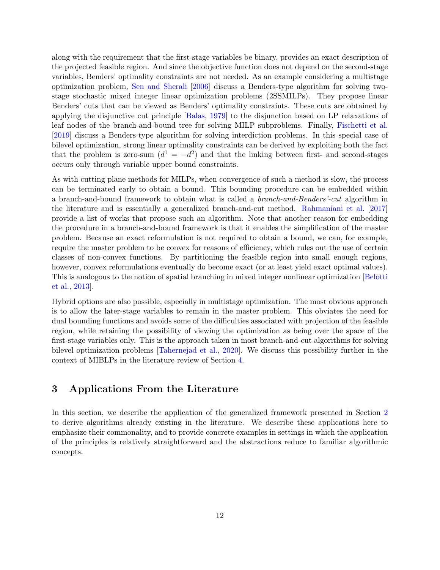along with the requirement that the first-stage variables be binary, provides an exact description of the projected feasible region. And since the objective function does not depend on the second-stage variables, Benders' optimality constraints are not needed. As an example considering a multistage optimization problem, [Sen and Sherali](#page-38-4) [\[2006\]](#page-38-4) discuss a Benders-type algorithm for solving twostage stochastic mixed integer linear optimization problems (2SSMILPs). They propose linear Benders' cuts that can be viewed as Benders' optimality constraints. These cuts are obtained by applying the disjunctive cut principle [\[Balas,](#page-34-1) [1979\]](#page-34-1) to the disjunction based on LP relaxations of leaf nodes of the branch-and-bound tree for solving MILP subproblems. Finally, [Fischetti et al.](#page-36-4) [\[2019\]](#page-36-4) discuss a Benders-type algorithm for solving interdiction problems. In this special case of bilevel optimization, strong linear optimality constraints can be derived by exploiting both the fact that the problem is zero-sum  $(d^{1} = -d^{2})$  and that the linking between first- and second-stages occurs only through variable upper bound constraints.

As with cutting plane methods for MILPs, when convergence of such a method is slow, the process can be terminated early to obtain a bound. This bounding procedure can be embedded within a branch-and-bound framework to obtain what is called a branch-and-Benders'-cut algorithm in the literature and is essentially a generalized branch-and-cut method. [Rahmaniani et al.](#page-37-4) [\[2017\]](#page-37-4) provide a list of works that propose such an algorithm. Note that another reason for embedding the procedure in a branch-and-bound framework is that it enables the simplification of the master problem. Because an exact reformulation is not required to obtain a bound, we can, for example, require the master problem to be convex for reasons of efficiency, which rules out the use of certain classes of non-convex functions. By partitioning the feasible region into small enough regions, however, convex reformulations eventually do become exact (or at least yield exact optimal values). This is analogous to the notion of spatial branching in mixed integer nonlinear optimization [\[Belotti](#page-35-3) [et al.,](#page-35-3) [2013\]](#page-35-3).

Hybrid options are also possible, especially in multistage optimization. The most obvious approach is to allow the later-stage variables to remain in the master problem. This obviates the need for dual bounding functions and avoids some of the difficulties associated with projection of the feasible region, while retaining the possibility of viewing the optimization as being over the space of the first-stage variables only. This is the approach taken in most branch-and-cut algorithms for solving bilevel optimization problems [\[Tahernejad et al.,](#page-38-5) [2020\]](#page-38-5). We discuss this possibility further in the context of MIBLPs in the literature review of Section [4.](#page-19-0)

## <span id="page-11-0"></span>3 Applications From the Literature

In this section, we describe the application of the generalized framework presented in Section [2](#page-3-0) to derive algorithms already existing in the literature. We describe these applications here to emphasize their commonality, and to provide concrete examples in settings in which the application of the principles is relatively straightforward and the abstractions reduce to familiar algorithmic concepts.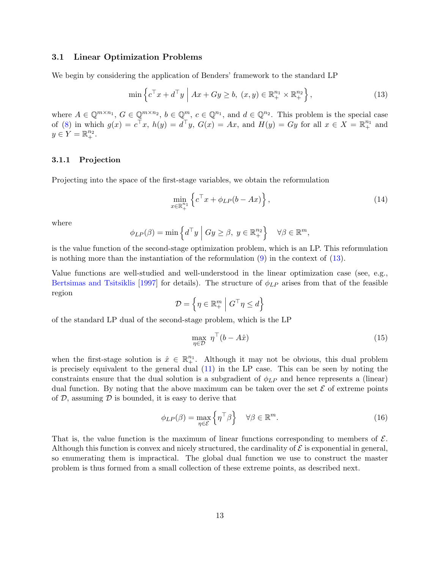#### <span id="page-12-0"></span>3.1 Linear Optimization Problems

We begin by considering the application of Benders' framework to the standard LP

<span id="page-12-1"></span>
$$
\min \left\{ c^\top x + d^\top y \mid Ax + Gy \ge b, \ (x, y) \in \mathbb{R}_+^{n_1} \times \mathbb{R}_+^{n_2} \right\},\tag{13}
$$

where  $A \in \mathbb{Q}^{m \times n_1}$ ,  $G \in \mathbb{Q}^{m \times n_2}$ ,  $b \in \mathbb{Q}^m$ ,  $c \in \mathbb{Q}^{n_1}$ , and  $d \in \mathbb{Q}^{n_2}$ . This problem is the special case of [\(8\)](#page-7-1) in which  $g(x) = c^{\top}x$ ,  $h(y) = d^{\top}y$ ,  $G(x) = Ax$ , and  $H(y) = Gy$  for all  $x \in X = \mathbb{R}_{+}^{n_1}$  and  $y \in Y = \mathbb{R}_{+}^{n_2}.$ 

#### 3.1.1 Projection

Projecting into the space of the first-stage variables, we obtain the reformulation

<span id="page-12-2"></span>
$$
\min_{x \in \mathbb{R}_+^{n_1}} \left\{ c^\top x + \phi_{LP}(b - Ax) \right\},\tag{14}
$$

where

$$
\phi_{LP}(\beta) = \min \left\{ d^\top y \mid Gy \ge \beta, \ y \in \mathbb{R}^{n_2}_+ \right\} \quad \forall \beta \in \mathbb{R}^m,
$$

is the value function of the second-stage optimization problem, which is an LP. This reformulation is nothing more than the instantiation of the reformulation  $(9)$  in the context of  $(13)$ .

Value functions are well-studied and well-understood in the linear optimization case (see, e.g., [Bertsimas and Tsitsiklis](#page-35-5) [\[1997\]](#page-35-5) for details). The structure of  $\phi_{LP}$  arises from that of the feasible region

$$
\mathcal{D} = \left\{ \boldsymbol{\eta} \in \mathbb{R}_+^m \ \middle| \ G^\top \boldsymbol{\eta} \leq d \right\}
$$

of the standard LP dual of the second-stage problem, which is the LP

<span id="page-12-3"></span>
$$
\max_{\eta \in \mathcal{D}} \; \eta^{\top} (b - A\hat{x}) \tag{15}
$$

when the first-stage solution is  $\hat{x} \in \mathbb{R}^{n_1}_+$ . Although it may not be obvious, this dual problem is precisely equivalent to the general dual [\(11\)](#page-8-2) in the LP case. This can be seen by noting the constraints ensure that the dual solution is a subgradient of  $\phi_{LP}$  and hence represents a (linear) dual function. By noting that the above maximum can be taken over the set  $\mathcal E$  of extreme points of  $D$ , assuming  $D$  is bounded, it is easy to derive that

<span id="page-12-4"></span>
$$
\phi_{LP}(\beta) = \max_{\eta \in \mathcal{E}} \left\{ \eta^\top \beta \right\} \quad \forall \beta \in \mathbb{R}^m. \tag{16}
$$

That is, the value function is the maximum of linear functions corresponding to members of  $\mathcal{E}$ . Although this function is convex and nicely structured, the cardinality of  $\mathcal E$  is exponential in general, so enumerating them is impractical. The global dual function we use to construct the master problem is thus formed from a small collection of these extreme points, as described next.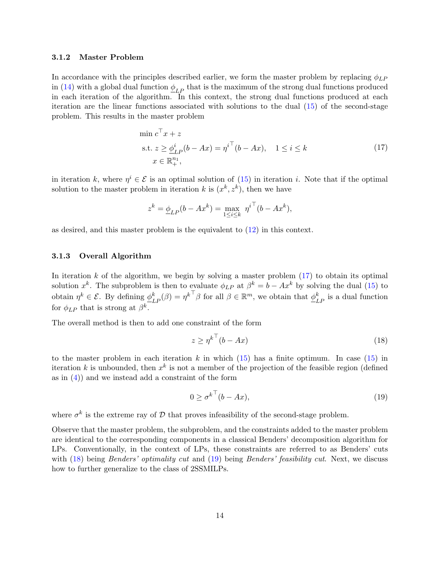#### 3.1.2 Master Problem

In accordance with the principles described earlier, we form the master problem by replacing  $\phi_{LP}$ in [\(14\)](#page-12-2) with a global dual function  $\phi_{LP}$  that is the maximum of the strong dual functions produced in each iteration of the algorithm. In this context, the strong dual functions produced at each iteration are the linear functions associated with solutions to the dual [\(15\)](#page-12-3) of the second-stage problem. This results in the master problem

<span id="page-13-0"></span>
$$
\min c^{\top} x + z
$$
  
s.t.  $z \ge \underline{\phi}_{LP}^i (b - Ax) = \eta^{i^{\top}} (b - Ax), \quad 1 \le i \le k$   
 $x \in \mathbb{R}_+^{n_1},$  (17)

in iteration k, where  $\eta^i \in \mathcal{E}$  is an optimal solution of [\(15\)](#page-12-3) in iteration i. Note that if the optimal solution to the master problem in iteration k is  $(x^k, z^k)$ , then we have

$$
z^{k} = \underline{\phi}_{LP}(b - Ax^{k}) = \max_{1 \le i \le k} \eta^{i^{+}}(b - Ax^{k}),
$$

as desired, and this master problem is the equivalent to [\(12\)](#page-9-1) in this context.

#### 3.1.3 Overall Algorithm

In iteration k of the algorithm, we begin by solving a master problem  $(17)$  to obtain its optimal solution  $x^k$ . The subproblem is then to evaluate  $\phi_{LP}$  at  $\beta^k = b - Ax^k$  by solving the dual [\(15\)](#page-12-3) to obtain  $\eta^k \in \mathcal{E}$ . By defining  $\underline{\phi}_{LP}^k(\beta) = {\eta^k}^\top \beta$  for all  $\beta \in \mathbb{R}^m$ , we obtain that  $\underline{\phi}_{LP}^k$  is a dual function for  $\phi_{LP}$  that is strong at  $\beta^k$ .

The overall method is then to add one constraint of the form

<span id="page-13-1"></span>
$$
z \ge \eta^{k^{\top}}(b - Ax) \tag{18}
$$

to the master problem in each iteration k in which  $(15)$  has a finite optimum. In case  $(15)$  in iteration k is unbounded, then  $x^k$  is not a member of the projection of the feasible region (defined as in  $(4)$  and we instead add a constraint of the form

<span id="page-13-2"></span>
$$
0 \ge \sigma^{k^{\top}}(b - Ax),\tag{19}
$$

where  $\sigma^k$  is the extreme ray of  $\mathcal D$  that proves infeasibility of the second-stage problem.

Observe that the master problem, the subproblem, and the constraints added to the master problem are identical to the corresponding components in a classical Benders' decomposition algorithm for LPs. Conventionally, in the context of LPs, these constraints are referred to as Benders' cuts with [\(18\)](#page-13-1) being *Benders' optimality cut* and [\(19\)](#page-13-2) being *Benders' feasibility cut*. Next, we discuss how to further generalize to the class of 2SSMILPs.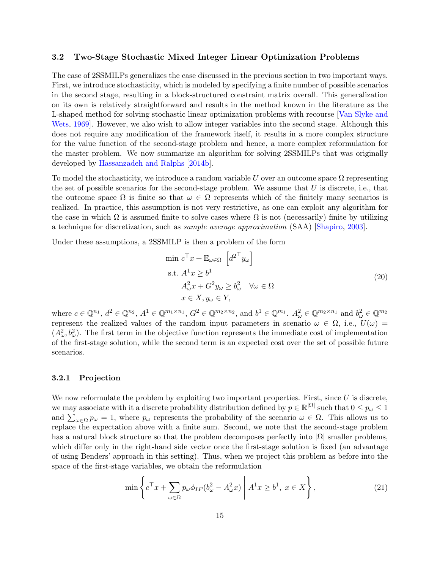#### 3.2 Two-Stage Stochastic Mixed Integer Linear Optimization Problems

The case of 2SSMILPs generalizes the case discussed in the previous section in two important ways. First, we introduce stochasticity, which is modeled by specifying a finite number of possible scenarios in the second stage, resulting in a block-structured constraint matrix overall. This generalization on its own is relatively straightforward and results in the method known in the literature as the L-shaped method for solving stochastic linear optimization problems with recourse [\[Van Slyke and](#page-38-6) [Wets,](#page-38-6) [1969\]](#page-38-6). However, we also wish to allow integer variables into the second stage. Although this does not require any modification of the framework itself, it results in a more complex structure for the value function of the second-stage problem and hence, a more complex reformulation for the master problem. We now summarize an algorithm for solving 2SSMILPs that was originally developed by [Hassanzadeh and Ralphs](#page-36-5) [\[2014b\]](#page-36-5).

To model the stochasticity, we introduce a random variable U over an outcome space  $\Omega$  representing the set of possible scenarios for the second-stage problem. We assume that  $U$  is discrete, i.e., that the outcome space  $\Omega$  is finite so that  $\omega \in \Omega$  represents which of the finitely many scenarios is realized. In practice, this assumption is not very restrictive, as one can exploit any algorithm for the case in which  $\Omega$  is assumed finite to solve cases where  $\Omega$  is not (necessarily) finite by utilizing a technique for discretization, such as sample average approximation (SAA) [\[Shapiro,](#page-38-7) [2003\]](#page-38-7).

Under these assumptions, a 2SSMILP is then a problem of the form

<span id="page-14-2"></span>
$$
\min c^{\top} x + \mathbb{E}_{\omega \in \Omega} \left[ d^{2^{\top}} y_{\omega} \right]
$$
  
s.t.  $A^{1} x \geq b^{1}$   
 $A^{2}_{\omega} x + G^{2} y_{\omega} \geq b^{2}_{\omega} \quad \forall \omega \in \Omega$   
 $x \in X, y_{\omega} \in Y,$  (20)

where  $c \in \mathbb{Q}^{n_1}$ ,  $d^2 \in \mathbb{Q}^{n_2}$ ,  $A^1 \in \mathbb{Q}^{m_1 \times n_1}$ ,  $G^2 \in \mathbb{Q}^{m_2 \times n_2}$ , and  $b^1 \in \mathbb{Q}^{m_1}$ .  $A^2_{\omega} \in \mathbb{Q}^{m_2 \times n_1}$  and  $b^2_{\omega} \in \mathbb{Q}^{m_2}$ represent the realized values of the random input parameters in scenario  $\omega \in \Omega$ , i.e.,  $U(\omega)$  $(A^2_\omega, b^2_\omega)$ . The first term in the objective function represents the immediate cost of implementation of the first-stage solution, while the second term is an expected cost over the set of possible future scenarios.

#### <span id="page-14-0"></span>3.2.1 Projection

We now reformulate the problem by exploiting two important properties. First, since  $U$  is discrete, we may associate with it a discrete probability distribution defined by  $p \in \mathbb{R}^{|\Omega|}$  such that  $0 \le p_\omega \le 1$ and  $\sum_{\omega \in \Omega} p_{\omega} = 1$ , where  $p_{\omega}$  represents the probability of the scenario  $\omega \in \Omega$ . This allows us to replace the expectation above with a finite sum. Second, we note that the second-stage problem has a natural block structure so that the problem decomposes perfectly into  $|\Omega|$  smaller problems, which differ only in the right-hand side vector once the first-stage solution is fixed (an advantage of using Benders' approach in this setting). Thus, when we project this problem as before into the space of the first-stage variables, we obtain the reformulation

<span id="page-14-1"></span>
$$
\min \left\{ c^\top x + \sum_{\omega \in \Omega} p_\omega \phi_{IP} (b_\omega^2 - A_\omega^2 x) \middle| A^1 x \ge b^1, \ x \in X \right\},\tag{21}
$$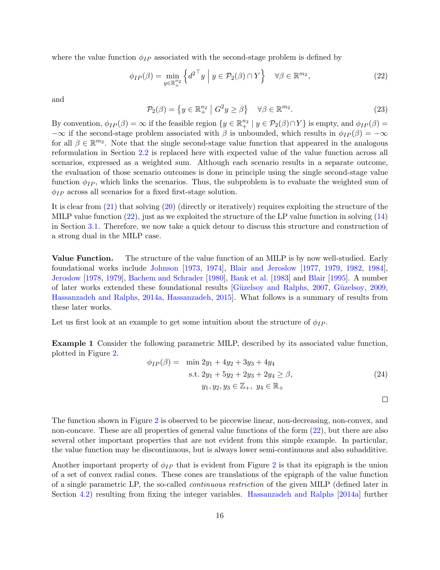where the value function  $\phi_{IP}$  associated with the second-stage problem is defined by

<span id="page-15-0"></span>
$$
\phi_{IP}(\beta) = \min_{y \in \mathbb{R}_+^{n_2}} \left\{ d^{2\top} y \mid y \in \mathcal{P}_2(\beta) \cap Y \right\} \quad \forall \beta \in \mathbb{R}^{m_2},\tag{22}
$$

and

<span id="page-15-2"></span>
$$
\mathcal{P}_2(\beta) = \left\{ y \in \mathbb{R}_+^{n_2} \mid G^2 y \ge \beta \right\} \quad \forall \beta \in \mathbb{R}^{m_2}.
$$
 (23)

By convention,  $\phi_{IP}(\beta) = \infty$  if the feasible region  $\{y \in \mathbb{R}^{n_2} \mid y \in \mathcal{P}_2(\beta) \cap Y\}$  is empty, and  $\phi_{IP}(\beta) = \emptyset$  $-\infty$  if the second-stage problem associated with  $\beta$  is unbounded, which results in  $\phi_{IP}(\beta) = -\infty$ for all  $\beta \in \mathbb{R}^{m_2}$ . Note that the single second-stage value function that appeared in the analogous reformulation in Section [2.2](#page-7-2) is replaced here with expected value of the value function across all scenarios, expressed as a weighted sum. Although each scenario results in a separate outcome, the evaluation of those scenario outcomes is done in principle using the single second-stage value function  $\phi_{IP}$ , which links the scenarios. Thus, the subproblem is to evaluate the weighted sum of  $\phi_{IP}$  across all scenarios for a fixed first-stage solution.

It is clear from [\(21\)](#page-14-1) that solving [\(20\)](#page-14-2) (directly or iteratively) requires exploiting the structure of the MILP value function [\(22\)](#page-15-0), just as we exploited the structure of the LP value function in solving [\(14\)](#page-12-2) in Section [3.1.](#page-12-0) Therefore, we now take a quick detour to discuss this structure and construction of a strong dual in the MILP case.

Value Function. The structure of the value function of an MILP is by now well-studied. Early foundational works include [Johnson](#page-37-5) [\[1973,](#page-37-5) [1974\]](#page-37-6), [Blair and Jeroslow](#page-35-6) [\[1977,](#page-35-6) [1979,](#page-35-7) [1982,](#page-35-8) [1984\]](#page-35-9), [Jeroslow](#page-37-7) [\[1978,](#page-37-7) [1979\]](#page-37-8), [Bachem and Schrader](#page-34-2) [\[1980\]](#page-34-2), [Bank et al.](#page-34-3) [\[1983\]](#page-34-3) and [Blair](#page-35-10) [\[1995\]](#page-35-10). A number of later works extended these foundational results [Güzelsoy and Ralphs, [2007,](#page-36-1) Güzelsoy, [2009,](#page-36-6) [Hassanzadeh and Ralphs,](#page-36-7) [2014a,](#page-36-7) [Hassanzadeh,](#page-36-8) [2015\]](#page-36-8). What follows is a summary of results from these later works.

Let us first look at an example to get some intuition about the structure of  $\phi_{IP}$ .

Example 1 Consider the following parametric MILP, described by its associated value function, plotted in Figure [2.](#page-16-0)

<span id="page-15-1"></span>
$$
\phi_{IP}(\beta) = \min 2y_1 + 4y_2 + 3y_3 + 4y_4
$$
  
s.t.  $2y_1 + 5y_2 + 2y_3 + 2y_4 \ge \beta$ ,  
 $y_1, y_2, y_3 \in \mathbb{Z}_+, y_4 \in \mathbb{R}_+$  (24)

 $\Box$ 

The function shown in Figure [2](#page-16-0) is observed to be piecewise linear, non-decreasing, non-convex, and non-concave. These are all properties of general value functions of the form [\(22\)](#page-15-0), but there are also several other important properties that are not evident from this simple example. In particular, the value function may be discontinuous, but is always lower semi-continuous and also subadditive.

Another important property of  $\phi_{IP}$  that is evident from Figure [2](#page-16-0) is that its epigraph is the union of a set of convex radial cones. These cones are translations of the epigraph of the value function of a single parametric LP, the so-called continuous restriction of the given MILP (defined later in Section [4.2\)](#page-22-0) resulting from fixing the integer variables. [Hassanzadeh and Ralphs](#page-36-7) [\[2014a\]](#page-36-7) further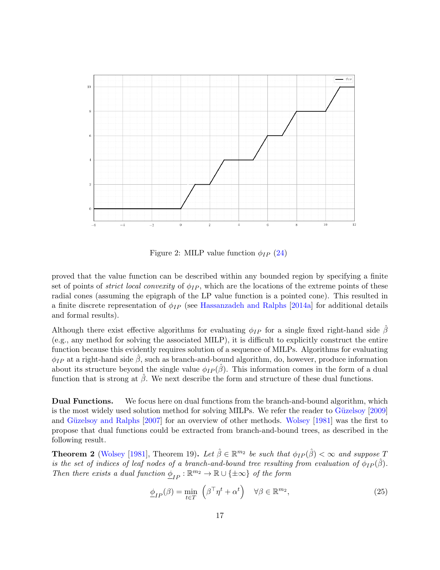<span id="page-16-0"></span>

Figure 2: MILP value function  $\phi_{IP}$  [\(24\)](#page-15-1)

proved that the value function can be described within any bounded region by specifying a finite set of points of *strict local convexity* of  $\phi_{IP}$ , which are the locations of the extreme points of these radial cones (assuming the epigraph of the LP value function is a pointed cone). This resulted in a finite discrete representation of  $\phi_{IP}$  (see [Hassanzadeh and Ralphs](#page-36-7) [\[2014a\]](#page-36-7) for additional details and formal results).

Although there exist effective algorithms for evaluating  $\phi_{IP}$  for a single fixed right-hand side  $\beta$ (e.g., any method for solving the associated MILP), it is difficult to explicitly construct the entire function because this evidently requires solution of a sequence of MILPs. Algorithms for evaluating  $\phi_{IP}$  at a right-hand side  $\beta$ , such as branch-and-bound algorithm, do, however, produce information about its structure beyond the single value  $\phi_{IP}(\hat{\beta})$ . This information comes in the form of a dual function that is strong at  $\beta$ . We next describe the form and structure of these dual functions.

Dual Functions. We focus here on dual functions from the branch-and-bound algorithm, which is the most widely used solution method for solving MILPs. We refer the reader to Güzelsoy [\[2009\]](#page-36-6) and Güzelsoy and Ralphs [\[2007\]](#page-36-1) for an overview of other methods. [Wolsey](#page-38-3) [\[1981\]](#page-38-3) was the first to propose that dual functions could be extracted from branch-and-bound trees, as described in the following result.

<span id="page-16-2"></span>**Theorem 2** [\(Wolsey](#page-38-3) [\[1981\]](#page-38-3), Theorem 19). Let  $\hat{\beta} \in \mathbb{R}^{m_2}$  be such that  $\phi_{IP}(\hat{\beta}) < \infty$  and suppose T is the set of indices of leaf nodes of a branch-and-bound tree resulting from evaluation of  $\phi_{IP}(\hat{\beta})$ . Then there exists a dual function  $\underline{\phi}_{IP} : \mathbb{R}^{m_2} \to \mathbb{R} \cup {\pm \infty}$  of the form

<span id="page-16-1"></span>
$$
\underline{\phi}_{IP}(\beta) = \min_{t \in T} \left( \beta^{\top} \eta^t + \alpha^t \right) \quad \forall \beta \in \mathbb{R}^{m_2},\tag{25}
$$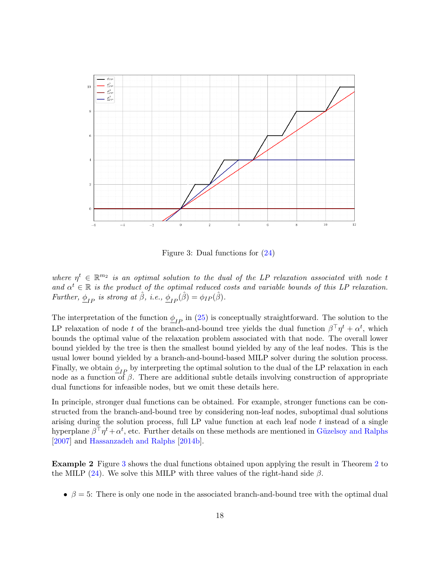<span id="page-17-0"></span>

Figure 3: Dual functions for [\(24\)](#page-15-1)

where  $\eta^t \in \mathbb{R}^{m_2}$  is an optimal solution to the dual of the LP relaxation associated with node t and  $\alpha^t \in \mathbb{R}$  is the product of the optimal reduced costs and variable bounds of this LP relaxation. Further,  $\phi_{IP}$  is strong at  $\hat{\beta}$ , i.e.,  $\phi_{IP}(\hat{\beta}) = \phi_{IP}(\hat{\beta})$ .

The interpretation of the function  $\phi_{IP}$  in [\(25\)](#page-16-1) is conceptually straightforward. The solution to the LP relaxation of node t of the branch-and-bound tree yields the dual function  $\beta^{\top} \eta^t + \alpha^t$ , which bounds the optimal value of the relaxation problem associated with that node. The overall lower bound yielded by the tree is then the smallest bound yielded by any of the leaf nodes. This is the usual lower bound yielded by a branch-and-bound-based MILP solver during the solution process. Finally, we obtain  $\phi_{IP}$  by interpreting the optimal solution to the dual of the LP relaxation in each node as a function of  $\beta$ . There are additional subtle details involving construction of appropriate dual functions for infeasible nodes, but we omit these details here.

In principle, stronger dual functions can be obtained. For example, stronger functions can be constructed from the branch-and-bound tree by considering non-leaf nodes, suboptimal dual solutions arising during the solution process, full LP value function at each leaf node t instead of a single hyperplane  $\beta^{\top} \eta^t + \alpha^t$ , etc. Further details on these methods are mentioned in Güzelsoy and Ralphs [\[2007\]](#page-36-1) and [Hassanzadeh and Ralphs](#page-36-5) [\[2014b\]](#page-36-5).

<span id="page-17-1"></span>Example 2 Figure [3](#page-17-0) shows the dual functions obtained upon applying the result in Theorem [2](#page-16-2) to the MILP [\(24\)](#page-15-1). We solve this MILP with three values of the right-hand side  $\beta$ .

•  $\beta = 5$ : There is only one node in the associated branch-and-bound tree with the optimal dual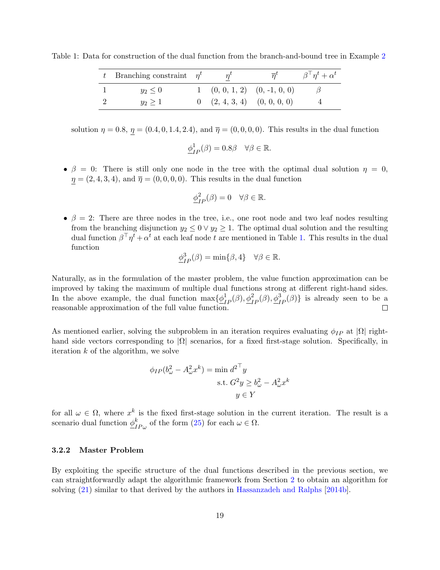<span id="page-18-0"></span>Table 1: Data for construction of the dual function from the branch-and-bound tree in Example [2](#page-17-1)

| t Branching constraint $\eta^t$ |                                           | $\overline{n}^{\iota}$ | $\beta^{\top} \eta^t + \alpha^t$ |
|---------------------------------|-------------------------------------------|------------------------|----------------------------------|
| $y_2 \leq 0$                    | $1$ $(0, 0, 1, 2)$ $(0, -1, 0, 0)$        |                        |                                  |
| $y_2 > 1$                       | $0 \quad (2, 4, 3, 4) \quad (0, 0, 0, 0)$ |                        |                                  |

solution  $\eta = 0.8$ ,  $\eta = (0.4, 0, 1.4, 2.4)$ , and  $\bar{\eta} = (0, 0, 0, 0)$ . This results in the dual function

$$
\underline{\phi}_{IP}^1(\beta) = 0.8\beta \quad \forall \beta \in \mathbb{R}.
$$

•  $\beta = 0$ : There is still only one node in the tree with the optimal dual solution  $\eta = 0$ ,  $\eta = (2, 4, 3, 4)$ , and  $\overline{\eta} = (0, 0, 0, 0)$ . This results in the dual function

$$
\underline{\phi}_{IP}^2(\beta)=0 \quad \forall \beta \in \mathbb{R}.
$$

•  $\beta = 2$ : There are three nodes in the tree, i.e., one root node and two leaf nodes resulting from the branching disjunction  $y_2 \leq 0 \vee y_2 \geq 1$ . The optimal dual solution and the resulting dual function  $\beta^{\top} \eta^t + \alpha^t$  at each leaf node t are mentioned in Table [1.](#page-18-0) This results in the dual function

$$
\underline{\phi}_{IP}^3(\beta) = \min\{\beta, 4\} \quad \forall \beta \in \mathbb{R}.
$$

Naturally, as in the formulation of the master problem, the value function approximation can be improved by taking the maximum of multiple dual functions strong at different right-hand sides. In the above example, the dual function  $\max{\{\underline{\phi}_{IP}^1(\beta), \underline{\phi}_{IP}^2(\beta), \underline{\phi}_{IP}^3(\beta)\}}$  is already seen to be a reasonable approximation of the full value function.

As mentioned earlier, solving the subproblem in an iteration requires evaluating  $\phi_{IP}$  at  $|\Omega|$  righthand side vectors corresponding to  $|\Omega|$  scenarios, for a fixed first-stage solution. Specifically, in iteration  $k$  of the algorithm, we solve

$$
\phi_{IP}(b_{\omega}^2 - A_{\omega}^2 x^k) = \min d^{2 \top} y
$$
  
s.t.  $G^2 y \ge b_{\omega}^2 - A_{\omega}^2 x^k$   
 $y \in Y$ 

for all  $\omega \in \Omega$ , where  $x^k$  is the fixed first-stage solution in the current iteration. The result is a scenario dual function  $\phi_r^k$  $_{IP\omega}^{k}$  of the form [\(25\)](#page-16-1) for each  $\omega \in \Omega$ .

#### 3.2.2 Master Problem

By exploiting the specific structure of the dual functions described in the previous section, we can straightforwardly adapt the algorithmic framework from Section [2](#page-3-0) to obtain an algorithm for solving [\(21\)](#page-14-1) similar to that derived by the authors in [Hassanzadeh and Ralphs](#page-36-5) [\[2014b\]](#page-36-5).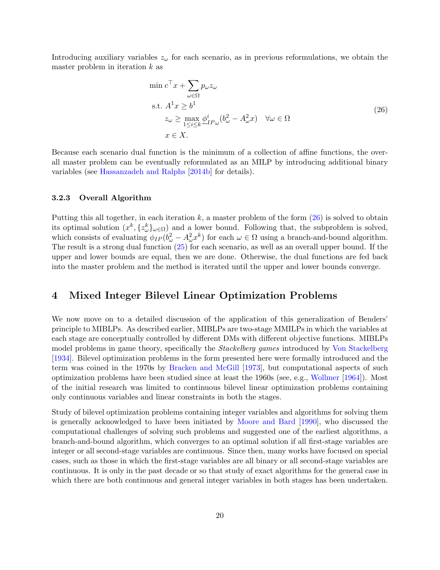Introducing auxiliary variables  $z_{\omega}$  for each scenario, as in previous reformulations, we obtain the master problem in iteration  $k$  as

<span id="page-19-1"></span>
$$
\min c^{\top} x + \sum_{\omega \in \Omega} p_{\omega} z_{\omega}
$$
\n
$$
\text{s.t. } A^1 x \ge b^1
$$
\n
$$
z_{\omega} \ge \max_{1 \le i \le k} \underline{\phi}_{IP\omega}^i (b_{\omega}^2 - A_{\omega}^2 x) \quad \forall \omega \in \Omega
$$
\n
$$
x \in X. \tag{26}
$$

Because each scenario dual function is the minimum of a collection of affine functions, the overall master problem can be eventually reformulated as an MILP by introducing additional binary variables (see [Hassanzadeh and Ralphs](#page-36-5) [\[2014b\]](#page-36-5) for details).

#### 3.2.3 Overall Algorithm

Putting this all together, in each iteration  $k$ , a master problem of the form  $(26)$  is solved to obtain its optimal solution  $(x^k, \{z^k_{\omega}\}_{{\omega}\in\Omega})$  and a lower bound. Following that, the subproblem is solved, which consists of evaluating  $\phi_{IP}(b^2_{\omega} - A^2_{\omega} x^k)$  for each  $\omega \in \Omega$  using a branch-and-bound algorithm. The result is a strong dual function [\(25\)](#page-16-1) for each scenario, as well as an overall upper bound. If the upper and lower bounds are equal, then we are done. Otherwise, the dual functions are fed back into the master problem and the method is iterated until the upper and lower bounds converge.

### <span id="page-19-0"></span>4 Mixed Integer Bilevel Linear Optimization Problems

We now move on to a detailed discussion of the application of this generalization of Benders' principle to MIBLPs. As described earlier, MIBLPs are two-stage MMILPs in which the variables at each stage are conceptually controlled by different DMs with different objective functions. MIBLPs model problems in game theory, specifically the Stackelberg games introduced by [Von Stackelberg](#page-38-8) [\[1934\]](#page-38-8). Bilevel optimization problems in the form presented here were formally introduced and the term was coined in the 1970s by [Bracken and McGill](#page-35-11) [\[1973\]](#page-35-11), but computational aspects of such optimization problems have been studied since at least the 1960s (see, e.g., [Wollmer](#page-38-9) [\[1964\]](#page-38-9)). Most of the initial research was limited to continuous bilevel linear optimization problems containing only continuous variables and linear constraints in both the stages.

Study of bilevel optimization problems containing integer variables and algorithms for solving them is generally acknowledged to have been initiated by [Moore and Bard](#page-37-9) [\[1990\]](#page-37-9), who discussed the computational challenges of solving such problems and suggested one of the earliest algorithms, a branch-and-bound algorithm, which converges to an optimal solution if all first-stage variables are integer or all second-stage variables are continuous. Since then, many works have focused on special cases, such as those in which the first-stage variables are all binary or all second-stage variables are continuous. It is only in the past decade or so that study of exact algorithms for the general case in which there are both continuous and general integer variables in both stages has been undertaken.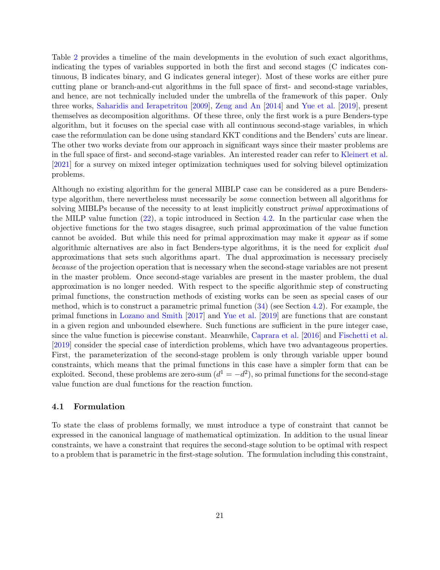Table [2](#page-21-0) provides a timeline of the main developments in the evolution of such exact algorithms, indicating the types of variables supported in both the first and second stages (C indicates continuous, B indicates binary, and G indicates general integer). Most of these works are either pure cutting plane or branch-and-cut algorithms in the full space of first- and second-stage variables, and hence, are not technically included under the umbrella of the framework of this paper. Only three works, [Saharidis and Ierapetritou](#page-37-10) [\[2009\]](#page-37-10), [Zeng and An](#page-39-0) [\[2014\]](#page-39-0) and [Yue et al.](#page-38-10) [\[2019\]](#page-38-10), present themselves as decomposition algorithms. Of these three, only the first work is a pure Benders-type algorithm, but it focuses on the special case with all continuous second-stage variables, in which case the reformulation can be done using standard KKT conditions and the Benders' cuts are linear. The other two works deviate from our approach in significant ways since their master problems are in the full space of first- and second-stage variables. An interested reader can refer to [Kleinert et al.](#page-37-3) [\[2021\]](#page-37-3) for a survey on mixed integer optimization techniques used for solving bilevel optimization problems.

Although no existing algorithm for the general MIBLP case can be considered as a pure Benderstype algorithm, there nevertheless must necessarily be some connection between all algorithms for solving MIBLPs because of the necessity to at least implicitly construct *primal* approximations of the MILP value function [\(22\)](#page-15-0), a topic introduced in Section [4.2.](#page-22-0) In the particular case when the objective functions for the two stages disagree, such primal approximation of the value function cannot be avoided. But while this need for primal approximation may make it appear as if some algorithmic alternatives are also in fact Benders-type algorithms, it is the need for explicit dual approximations that sets such algorithms apart. The dual approximation is necessary precisely because of the projection operation that is necessary when the second-stage variables are not present in the master problem. Once second-stage variables are present in the master problem, the dual approximation is no longer needed. With respect to the specific algorithmic step of constructing primal functions, the construction methods of existing works can be seen as special cases of our method, which is to construct a parametric primal function  $(34)$  (see Section [4.2\)](#page-22-0). For example, the primal functions in [Lozano and Smith](#page-37-11) [\[2017\]](#page-37-11) and [Yue et al.](#page-38-10) [\[2019\]](#page-38-10) are functions that are constant in a given region and unbounded elsewhere. Such functions are sufficient in the pure integer case, since the value function is piecewise constant. Meanwhile, [Caprara et al.](#page-35-12) [\[2016\]](#page-35-12) and [Fischetti et al.](#page-36-4) [\[2019\]](#page-36-4) consider the special case of interdiction problems, which have two advantageous properties. First, the parameterization of the second-stage problem is only through variable upper bound constraints, which means that the primal functions in this case have a simpler form that can be exploited. Second, these problems are zero-sum  $(d^1 = -d^2)$ , so primal functions for the second-stage value function are dual functions for the reaction function.

#### 4.1 Formulation

To state the class of problems formally, we must introduce a type of constraint that cannot be expressed in the canonical language of mathematical optimization. In addition to the usual linear constraints, we have a constraint that requires the second-stage solution to be optimal with respect to a problem that is parametric in the first-stage solution. The formulation including this constraint,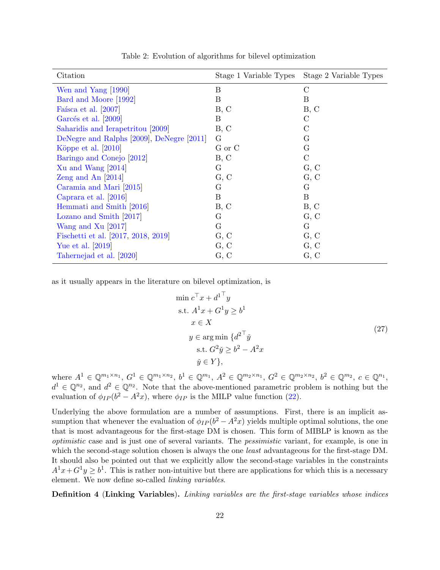<span id="page-21-0"></span>

| Citation                                  | Stage 1 Variable Types | Stage 2 Variable Types |
|-------------------------------------------|------------------------|------------------------|
| Wen and Yang [1990]                       | B                      | $\mathcal{C}$          |
| Bard and Moore [1992]                     | B                      | B                      |
| Faísca et al. [2007]                      | B, C                   | B, C                   |
| Garcés et al. [2009]                      | B                      | $\rm C$                |
| Saharidis and Ierapetritou [2009]         | B, C                   | С                      |
| DeNegre and Ralphs [2009], DeNegre [2011] | G                      | G                      |
| Köppe et al. $[2010]$                     | G or C                 | G                      |
| Baringo and Conejo [2012]                 | B, C                   | $\mathcal{C}$          |
| Xu and Wang $[2014]$                      | G                      | G, C                   |
| Zeng and An $[2014]$                      | G, C                   | G, C                   |
| Caramia and Mari [2015]                   | G                      | G                      |
| Caprara et al. [2016]                     | $\boldsymbol{B}$       | B                      |
| Hemmati and Smith [2016]                  | B, C                   | B, C                   |
| Lozano and Smith [2017]                   | G                      | G, C                   |
| Wang and Xu $[2017]$                      | G                      | G                      |
| Fischetti et al. [2017, 2018, 2019]       | G, C                   | G, C                   |
| Yue et al. [2019]                         | G, C                   | G, C                   |
| Tahernejad et al. [2020]                  | G, C                   | G, C                   |

Table 2: Evolution of algorithms for bilevel optimization

as it usually appears in the literature on bilevel optimization, is

<span id="page-21-1"></span>
$$
\min c^{\top} x + d^{\top} y
$$
  
s.t.  $A^{1}x + G^{1}y \ge b^{1}$   
 $x \in X$   
 $y \in \arg \min \{ d^{2^{\top}} y$   
s.t.  $G^{2} \check{y} \ge b^{2} - A^{2}x$   
 $\check{y} \in Y \},$  (27)

where  $A^1 \in \mathbb{Q}^{m_1 \times n_1}$ ,  $G^1 \in \mathbb{Q}^{m_1 \times n_2}$ ,  $b^1 \in \mathbb{Q}^{m_1}$ ,  $A^2 \in \mathbb{Q}^{m_2 \times n_1}$ ,  $G^2 \in \mathbb{Q}^{m_2 \times n_2}$ ,  $b^2 \in \mathbb{Q}^{m_2}$ ,  $c \in \mathbb{Q}^{n_1}$ ,  $d^1 \in \mathbb{Q}^{n_2}$ , and  $d^2 \in \mathbb{Q}^{n_2}$ . Note that the above-mentioned parametric problem is nothing but the evaluation of  $\phi_{IP}(b^2 - A^2x)$ , where  $\phi_{IP}$  is the MILP value function [\(22\)](#page-15-0).

Underlying the above formulation are a number of assumptions. First, there is an implicit assumption that whenever the evaluation of  $\phi_{IP}(b^2 - A^2x)$  yields multiple optimal solutions, the one that is most advantageous for the first-stage DM is chosen. This form of MIBLP is known as the optimistic case and is just one of several variants. The pessimistic variant, for example, is one in which the second-stage solution chosen is always the one *least* advantageous for the first-stage DM. It should also be pointed out that we explicitly allow the second-stage variables in the constraints  $A^1x+G^1y \geq b^1$ . This is rather non-intuitive but there are applications for which this is a necessary element. We now define so-called linking variables.

Definition 4 (Linking Variables). Linking variables are the first-stage variables whose indices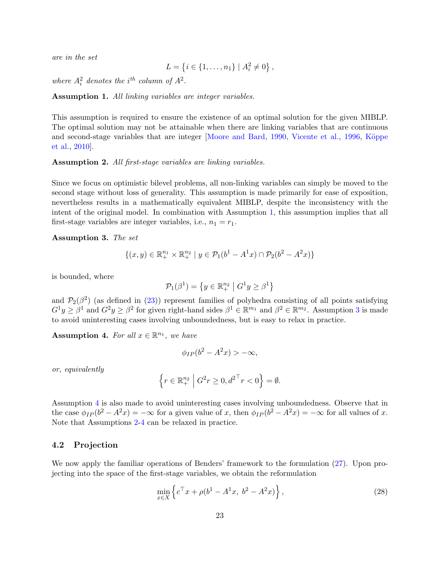are in the set

$$
L = \{i \in \{1, \ldots, n_1\} \mid A_i^2 \neq 0\},\,
$$

where  $A_i^2$  denotes the i<sup>th</sup> column of  $A^2$ .

<span id="page-22-1"></span>Assumption 1. All linking variables are integer variables.

This assumption is required to ensure the existence of an optimal solution for the given MIBLP. The optimal solution may not be attainable when there are linking variables that are continuous and second-stage variables that are integer [\[Moore and Bard,](#page-37-9) [1990,](#page-37-9) [Vicente et al.,](#page-38-14) [1996,](#page-38-14) Köppe [et al.,](#page-37-12) [2010\]](#page-37-12).

<span id="page-22-4"></span>Assumption 2. All first-stage variables are linking variables.

Since we focus on optimistic bilevel problems, all non-linking variables can simply be moved to the second stage without loss of generality. This assumption is made primarily for ease of exposition, nevertheless results in a mathematically equivalent MIBLP, despite the inconsistency with the intent of the original model. In combination with Assumption [1,](#page-22-1) this assumption implies that all first-stage variables are integer variables, i.e.,  $n_1 = r_1$ .

<span id="page-22-2"></span>Assumption 3. The set

$$
\{(x,y) \in \mathbb{R}_+^{n_1} \times \mathbb{R}_+^{n_2} \mid y \in \mathcal{P}_1(b^1 - A^1x) \cap \mathcal{P}_2(b^2 - A^2x)\}\
$$

is bounded, where

$$
\mathcal{P}_1(\beta^1) = \left\{ y \in \mathbb{R}_+^{n_2} \middle| G^1 y \ge \beta^1 \right\}
$$

and  $\mathcal{P}_2(\beta^2)$  (as defined in [\(23\)](#page-15-2)) represent families of polyhedra consisting of all points satisfying  $G^1y \geq \beta^1$  and  $G^2y \geq \beta^2$  for given right-hand sides  $\beta^1 \in \mathbb{R}^{m_1}$  and  $\beta^2 \in \mathbb{R}^{m_2}$ . Assumption [3](#page-22-2) is made to avoid uninteresting cases involving unboundedness, but is easy to relax in practice.

<span id="page-22-3"></span>Assumption 4. For all  $x \in \mathbb{R}^{n_1}$ , we have

$$
\phi_{IP}(b^2 - A^2x) > -\infty,
$$

or, equivalently

$$
\left\{r \in \mathbb{R}_+^{n_2} \middle| G^2r \ge 0, d^{2\top}r < 0\right\} = \emptyset.
$$

Assumption [4](#page-22-3) is also made to avoid uninteresting cases involving unboundedness. Observe that in the case  $\phi_{IP}(b^2 - A^2x) = -\infty$  for a given value of x, then  $\phi_{IP}(b^2 - A^2x) = -\infty$  for all values of x. Note that Assumptions [2-](#page-22-4)[4](#page-22-3) can be relaxed in practice.

#### <span id="page-22-0"></span>4.2 Projection

We now apply the familiar operations of Benders' framework to the formulation  $(27)$ . Upon projecting into the space of the first-stage variables, we obtain the reformulation

<span id="page-22-5"></span>
$$
\min_{x \in X} \left\{ c^{\top} x + \rho (b^1 - A^1 x, \ b^2 - A^2 x) \right\},\tag{28}
$$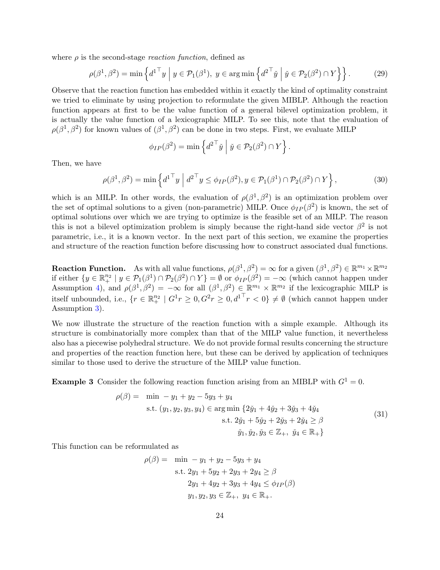where  $\rho$  is the second-stage *reaction function*, defined as

<span id="page-23-1"></span>
$$
\rho(\beta^1, \beta^2) = \min \left\{ d^{1\top} y \mid y \in \mathcal{P}_1(\beta^1), \ y \in \arg\min \left\{ d^{2\top} \check{y} \mid \check{y} \in \mathcal{P}_2(\beta^2) \cap Y \right\} \right\}.
$$
 (29)

Observe that the reaction function has embedded within it exactly the kind of optimality constraint we tried to eliminate by using projection to reformulate the given MIBLP. Although the reaction function appears at first to be the value function of a general bilevel optimization problem, it is actually the value function of a lexicographic MILP. To see this, note that the evaluation of  $\rho(\beta^1, \beta^2)$  for known values of  $(\beta^1, \beta^2)$  can be done in two steps. First, we evaluate MILP

$$
\phi_{IP}(\beta^2) = \min \left\{ d^{2\top} \check{y} \mid \check{y} \in \mathcal{P}_2(\beta^2) \cap Y \right\}.
$$

Then, we have

<span id="page-23-2"></span>
$$
\rho(\beta^1, \beta^2) = \min \left\{ d^{1\top} y \middle| d^{2\top} y \le \phi_{IP}(\beta^2), y \in \mathcal{P}_1(\beta^1) \cap \mathcal{P}_2(\beta^2) \cap Y \right\},\tag{30}
$$

which is an MILP. In other words, the evaluation of  $\rho(\beta^1, \beta^2)$  is an optimization problem over the set of optimal solutions to a given (non-parametric) MILP. Once  $\phi_{IP}(\beta^2)$  is known, the set of optimal solutions over which we are trying to optimize is the feasible set of an MILP. The reason this is not a bilevel optimization problem is simply because the right-hand side vector  $\beta^2$  is not parametric, i.e., it is a known vector. In the next part of this section, we examine the properties and structure of the reaction function before discussing how to construct associated dual functions.

**Reaction Function.** As with all value functions,  $\rho(\beta^1, \beta^2) = \infty$  for a given  $(\beta^1, \beta^2) \in \mathbb{R}^{m_1} \times \mathbb{R}^{m_2}$ if either  $\{y \in \mathbb{R}^{n_2} \mid y \in \mathcal{P}_1(\beta^1) \cap \mathcal{P}_2(\beta^2) \cap Y\} = \emptyset$  or  $\phi_{IP}(\beta^2) = -\infty$  (which cannot happen under Assumption [4\)](#page-22-3), and  $\rho(\beta^1, \beta^2) = -\infty$  for all  $(\beta^1, \beta^2) \in \mathbb{R}^{m_1} \times \mathbb{R}^{m_2}$  if the lexicographic MILP is itself unbounded, i.e.,  $\{r \in \mathbb{R}^{n_2}_+ \mid G^1r \geq 0, G^2r \geq 0, d^{1\top}r < 0\} \neq \emptyset$  (which cannot happen under Assumption [3\)](#page-22-2).

We now illustrate the structure of the reaction function with a simple example. Although its structure is combinatorially more complex than that of the MILP value function, it nevertheless also has a piecewise polyhedral structure. We do not provide formal results concerning the structure and properties of the reaction function here, but these can be derived by application of techniques similar to those used to derive the structure of the MILP value function.

**Example 3** Consider the following reaction function arising from an MIBLP with  $G^1 = 0$ .

<span id="page-23-0"></span>
$$
\rho(\beta) = \min -y_1 + y_2 - 5y_3 + y_4
$$
  
s.t.  $(y_1, y_2, y_3, y_4) \in \arg\min \{2\check{y}_1 + 4\check{y}_2 + 3\check{y}_3 + 4\check{y}_4$   
s.t.  $2\check{y}_1 + 5\check{y}_2 + 2\check{y}_3 + 2\check{y}_4 \ge \beta$   
 $\check{y}_1, \check{y}_2, \check{y}_3 \in \mathbb{Z}_+, \ \check{y}_4 \in \mathbb{R}_+$  (31)

This function can be reformulated as

$$
\rho(\beta) = \min -y_1 + y_2 - 5y_3 + y_4
$$
  
s.t.  $2y_1 + 5y_2 + 2y_3 + 2y_4 \ge \beta$   
 $2y_1 + 4y_2 + 3y_3 + 4y_4 \le \phi_{IP}(\beta)$   
 $y_1, y_2, y_3 \in \mathbb{Z}_+, y_4 \in \mathbb{R}_+.$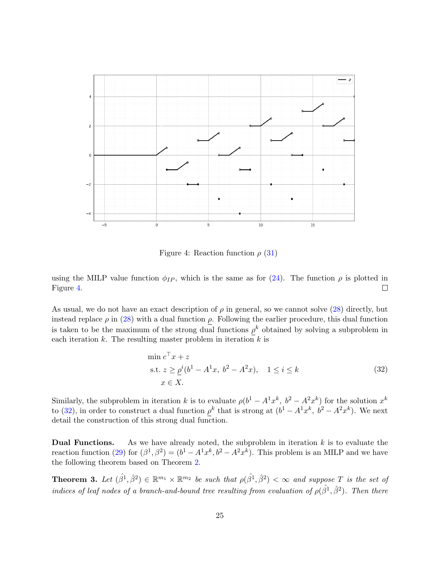<span id="page-24-0"></span>

Figure 4: Reaction function  $\rho$  [\(31\)](#page-23-0)

using the MILP value function  $\phi_{IP}$ , which is the same as for [\(24\)](#page-15-1). The function  $\rho$  is plotted in Figure [4.](#page-24-0)  $\Box$ 

As usual, we do not have an exact description of  $\rho$  in general, so we cannot solve [\(28\)](#page-22-5) directly, but instead replace  $\rho$  in [\(28\)](#page-22-5) with a dual function  $\rho$ . Following the earlier procedure, this dual function is taken to be the maximum of the strong dual functions  $\rho^k$  obtained by solving a subproblem in each iteration  $k$ . The resulting master problem in iteration  $k$  is

<span id="page-24-1"></span>
$$
\min c^{\top} x + z \n\text{s.t. } z \ge \rho^{i} (b^{1} - A^{1} x, b^{2} - A^{2} x), \quad 1 \le i \le k \n x \in X.
$$
\n(32)

Similarly, the subproblem in iteration k is to evaluate  $\rho(b^1 - A^1 x^k, b^2 - A^2 x^k)$  for the solution  $x^k$ to [\(32\)](#page-24-1), in order to construct a dual function  $\rho^k$  that is strong at  $(b^1 - A^1 x^k, b^2 - A^2 x^k)$ . We next detail the construction of this strong dual function.

**Dual Functions.** As we have already noted, the subproblem in iteration  $k$  is to evaluate the reaction function [\(29\)](#page-23-1) for  $(\beta^1, \beta^2) = (b^1 - A^1 x^k, b^2 - A^2 x^k)$ . This problem is an MILP and we have the following theorem based on Theorem [2.](#page-16-2)

<span id="page-24-2"></span>**Theorem 3.** Let  $(\hat{\beta}^1, \hat{\beta}^2) \in \mathbb{R}^{m_1} \times \mathbb{R}^{m_2}$  be such that  $\rho(\hat{\beta}^1, \hat{\beta}^2) < \infty$  and suppose T is the set of indices of leaf nodes of a branch-and-bound tree resulting from evaluation of  $\rho(\hat{\beta}^1, \hat{\beta}^2)$ . Then there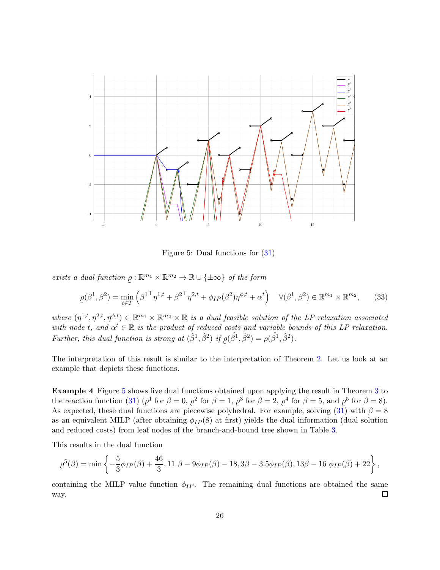<span id="page-25-0"></span>

Figure 5: Dual functions for [\(31\)](#page-23-0)

exists a dual function  $\rho : \mathbb{R}^{m_1} \times \mathbb{R}^{m_2} \to \mathbb{R} \cup {\pm \infty}$  of the form

<span id="page-25-2"></span>
$$
\rho(\beta^1, \beta^2) = \min_{t \in T} \left( \beta^{1\top} \eta^{1,t} + \beta^{2\top} \eta^{2,t} + \phi_{IP}(\beta^2) \eta^{\phi,t} + \alpha^t \right) \quad \forall (\beta^1, \beta^2) \in \mathbb{R}^{m_1} \times \mathbb{R}^{m_2},\tag{33}
$$

where  $(\eta^{1,t}, \eta^{2,t}, \eta^{\phi,t}) \in \mathbb{R}^{m_1} \times \mathbb{R}^{m_2} \times \mathbb{R}$  is a dual feasible solution of the LP relaxation associated with node t, and  $\alpha^t \in \mathbb{R}$  is the product of reduced costs and variable bounds of this LP relaxation. Further, this dual function is strong at  $(\hat{\beta}^1, \hat{\beta}^2)$  if  $\rho(\hat{\beta}^1, \hat{\beta}^2) = \rho(\hat{\beta}^1, \hat{\beta}^2)$ .  $\tilde{\phantom{a}}$ 

The interpretation of this result is similar to the interpretation of Theorem [2.](#page-16-2) Let us look at an example that depicts these functions.

<span id="page-25-1"></span>Example 4 Figure [5](#page-25-0) shows five dual functions obtained upon applying the result in Theorem [3](#page-24-2) to the reaction function [\(31\)](#page-23-0) ( $\rho^1$  for  $\beta = 0$ ,  $\rho^2$  for  $\beta = 1$ ,  $\rho^3$  for  $\beta = 2$ ,  $\rho^4$  for  $\beta = 5$ , and  $\rho^5$  for  $\beta = 8$ ). As expected, these dual functions are piecewise polyhedral. For example, solving  $(31)$  with  $\beta = 8$ as an equivalent MILP (after obtaining  $\phi_{IP}(8)$ ) at first) yields the dual information (dual solution and reduced costs) from leaf nodes of the branch-and-bound tree shown in Table [3.](#page-26-0)

This results in the dual function

$$
\rho^5(\beta) = \min\left\{-\frac{5}{3}\phi_{IP}(\beta) + \frac{46}{3}, 11 \ \beta - 9\phi_{IP}(\beta) - 18, 3\beta - 3.5\phi_{IP}(\beta), 13\beta - 16 \ \phi_{IP}(\beta) + 22\right\},\,
$$

containing the MILP value function  $\phi_{IP}$ . The remaining dual functions are obtained the same way.  $\Box$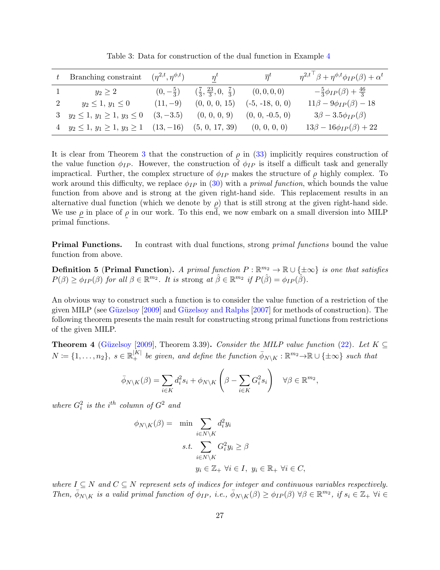<span id="page-26-0"></span>

| Branching constraint                   | $(\eta^{2,t},\eta^{\phi,t})$ | $\eta^t$                                                 | $\overline{\eta}^t$ | $\eta^{2,t}$ <sup>+</sup> $\beta + \eta^{\phi,t} \phi_{IP}(\beta) + \alpha^t$ |
|----------------------------------------|------------------------------|----------------------------------------------------------|---------------------|-------------------------------------------------------------------------------|
| $y_2\geq 2$                            | $(0,-\frac{5}{3})$           | $\left(\frac{7}{3}, \frac{23}{3}, 0, \frac{7}{3}\right)$ | (0,0,0,0)           | $-\frac{5}{3}\phi_{IP}(\beta)+\frac{46}{3}$                                   |
| $y_2 \leq 1, y_1 \leq 0$               | $(11, -9)$                   | (0, 0, 0, 15)                                            | $(-5, -18, 0, 0)$   | $11\beta - 9\phi_{IP}(\beta) - 18$                                            |
| $y_2 \leq 1, y_1 \geq 1, y_3 \leq 0$   | $(3, -3.5)$                  | (0, 0, 0, 9)                                             | $(0, 0, -0.5, 0)$   | $3\beta - 3.5\phi_{IP}(\beta)$                                                |
| 4 $y_2 \leq 1, y_1 \geq 1, y_3 \geq 1$ | $(13,-16)$                   | (5, 0, 17, 39)                                           | (0, 0, 0, 0)        | $13\beta - 16\phi_{IP}(\beta) + 22$                                           |

Table 3: Data for construction of the dual function in Example [4](#page-25-1)

It is clear from Theorem [3](#page-24-2) that the construction of  $\rho$  in [\(33\)](#page-25-2) implicitly requires construction of the value function  $\phi_{IP}$ . However, the construction of  $\phi_{IP}$  is itself a difficult task and generally impractical. Further, the complex structure of  $\phi_{IP}$  makes the structure of  $\rho$  highly complex. To work around this difficulty, we replace  $\phi_{IP}$  in [\(30\)](#page-23-2) with a *primal function*, which bounds the value function from above and is strong at the given right-hand side. This replacement results in an alternative dual function (which we denote by  $\rho$ ) that is still strong at the given right-hand side. We use  $\rho$  in place of ˜  $\rho$  in our work. To this end, we now embark on a small diversion into MILP primal functions.

**Primal Functions.** In contrast with dual functions, strong *primal functions* bound the value function from above.

**Definition 5 (Primal Function).** A primal function  $P : \mathbb{R}^{m_2} \to \mathbb{R} \cup {\{\pm \infty\}}$  is one that satisfies  $P(\beta) \ge \phi_{IP}(\beta)$  for all  $\beta \in \mathbb{R}^{m_2}$ . It is strong at  $\hat{\beta} \in \mathbb{R}^{m_2}$  if  $P(\hat{\beta}) = \phi_{IP}(\hat{\beta})$ .

An obvious way to construct such a function is to consider the value function of a restriction of the given MILP (see Güzelsoy  $[2009]$  and Güzelsoy and Ralphs  $[2007]$  for methods of construction). The following theorem presents the main result for constructing strong primal functions from restrictions of the given MILP.

<span id="page-26-1"></span>Theorem 4 (Güzelsoy [\[2009\]](#page-36-6), Theorem 3.39). Consider the MILP value function [\(22\)](#page-15-0). Let  $K \subseteq$  $N \coloneqq \{1,\ldots,n_2\}, s \in \mathbb{R}_+^{|K|}$  be given, and define the function  $\bar{\phi}_{N\setminus K} : \mathbb{R}^{m_2} \to \mathbb{R} \cup \{\pm \infty\}$  such that

$$
\bar{\phi}_{N\setminus K}(\beta) = \sum_{i \in K} d_i^2 s_i + \phi_{N\setminus K} \left(\beta - \sum_{i \in K} G_i^2 s_i\right) \quad \forall \beta \in \mathbb{R}^{m_2},
$$

where  $G_i^2$  is the i<sup>th</sup> column of  $G^2$  and

$$
\phi_{N\setminus K}(\beta) = \min \sum_{i \in N\setminus K} d_i^2 y_i
$$
  
s.t. 
$$
\sum_{i \in N\setminus K} G_i^2 y_i \ge \beta
$$
  

$$
y_i \in \mathbb{Z}_+ \ \forall i \in I, \ y_i \in \mathbb{R}_+ \ \forall i \in C,
$$

where  $I \subseteq N$  and  $C \subseteq N$  represent sets of indices for integer and continuous variables respectively. Then,  $\bar{\phi}_{N\setminus K}$  is a valid primal function of  $\phi_{IP}$ , i.e.,  $\bar{\phi}_{N\setminus K}(\beta) \geq \phi_{IP}(\beta)$   $\forall \beta \in \mathbb{R}^{m_2}$ , if  $s_i \in \mathbb{Z}_+$   $\forall i \in \mathbb{Z}$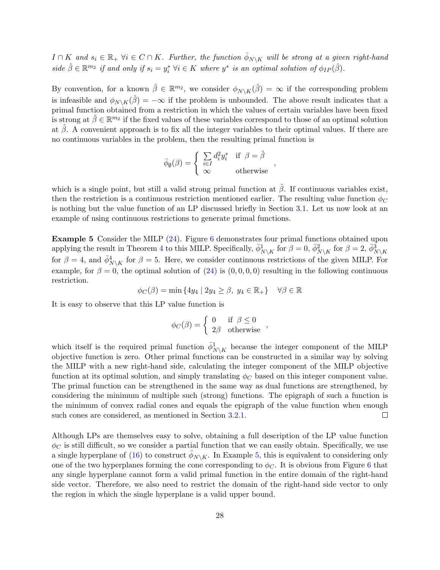$I \cap K$  and  $s_i \in \mathbb{R}_+$   $\forall i \in C \cap K$ . Further, the function  $\bar{\phi}_{N\setminus K}$  will be strong at a given right-hand side  $\hat{\beta} \in \mathbb{R}^{m_2}$  if and only if  $s_i = y_i^* \ \forall i \in K$  where  $y^*$  is an optimal solution of  $\phi_{IP}(\hat{\beta})$ .

By convention, for a known  $\hat{\beta} \in \mathbb{R}^{m_2}$ , we consider  $\phi_{N\setminus K}(\hat{\beta}) = \infty$  if the corresponding problem is infeasible and  $\phi_{N\setminus K}(\hat{\beta}) = -\infty$  if the problem is unbounded. The above result indicates that a primal function obtained from a restriction in which the values of certain variables have been fixed is strong at  $\hat{\beta} \in \mathbb{R}^{m_2}$  if the fixed values of these variables correspond to those of an optimal solution at  $\hat{\beta}$ . A convenient approach is to fix all the integer variables to their optimal values. If there are no continuous variables in the problem, then the resulting primal function is

$$
\bar{\phi}_{\emptyset}(\beta) = \begin{cases} \sum_{i \in I} d_i^2 y_i^* & \text{if } \beta = \hat{\beta} \\ \infty & \text{otherwise} \end{cases}
$$

<span id="page-27-0"></span>,

which is a single point, but still a valid strong primal function at  $\hat{\beta}$ . If continuous variables exist, then the restriction is a continuous restriction mentioned earlier. The resulting value function  $\phi_C$ is nothing but the value function of an LP discussed briefly in Section [3.1.](#page-12-0) Let us now look at an example of using continuous restrictions to generate primal functions.

Example 5 Consider the MILP [\(24\)](#page-15-1). Figure [6](#page-28-1) demonstrates four primal functions obtained upon applying the result in Theorem [4](#page-26-1) to this MILP. Specifically,  $\bar{\phi}_{N\setminus K}^1$  for  $\beta = 0$ ,  $\bar{\phi}_{N\setminus K}^2$  for  $\beta = 2$ ,  $\bar{\phi}_{N\setminus K}^3$ for  $\beta = 4$ , and  $\bar{\phi}_{N\setminus K}^4$  for  $\beta = 5$ . Here, we consider continuous restrictions of the given MILP. For example, for  $\beta = 0$ , the optimal solution of [\(24\)](#page-15-1) is (0, 0, 0, 0) resulting in the following continuous restriction.

$$
\phi_C(\beta) = \min\left\{4y_4 \mid 2y_4 \ge \beta, \ y_4 \in \mathbb{R}_+\right\} \quad \forall \beta \in \mathbb{R}
$$

It is easy to observe that this LP value function is

$$
\phi_C(\beta) = \begin{cases} 0 & \text{if } \beta \le 0 \\ 2\beta & \text{otherwise} \end{cases}
$$

which itself is the required primal function  $\bar{\phi}_{N\setminus K}^1$  because the integer component of the MILP objective function is zero. Other primal functions can be constructed in a similar way by solving the MILP with a new right-hand side, calculating the integer component of the MILP objective function at its optimal solution, and simply translating  $\phi_C$  based on this integer component value. The primal function can be strengthened in the same way as dual functions are strengthened, by considering the minimum of multiple such (strong) functions. The epigraph of such a function is the minimum of convex radial cones and equals the epigraph of the value function when enough such cones are considered, as mentioned in Section [3.2.1.](#page-14-0)  $\Box$ 

Although LPs are themselves easy to solve, obtaining a full description of the LP value function  $\phi_C$  is still difficult, so we consider a partial function that we can easily obtain. Specifically, we use a single hyperplane of [\(16\)](#page-12-4) to construct  $\bar{\phi}_{N\setminus K}$ . In Example [5,](#page-27-0) this is equivalent to considering only one of the two hyperplanes forming the cone corresponding to  $\phi_C$ . It is obvious from Figure [6](#page-28-1) that any single hyperplane cannot form a valid primal function in the entire domain of the right-hand side vector. Therefore, we also need to restrict the domain of the right-hand side vector to only the region in which the single hyperplane is a valid upper bound.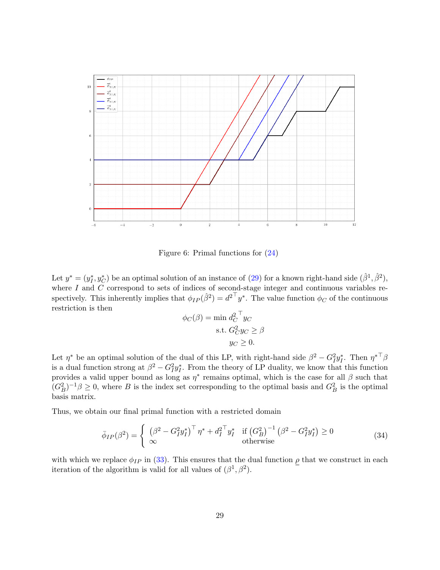<span id="page-28-1"></span>

Figure 6: Primal functions for [\(24\)](#page-15-1)

Let  $y^* = (y_I^*, y_C^*)$  be an optimal solution of an instance of [\(29\)](#page-23-1) for a known right-hand side  $(\hat{\beta}^1, \hat{\beta}^2)$ , where I and  $\tilde{C}$  correspond to sets of indices of second-stage integer and continuous variables respectively. This inherently implies that  $\phi_{IP}(\hat{\beta}^2) = d^2 \mathsf{d}^2 y^*$ . The value function  $\phi_C$  of the continuous restriction is then

$$
\phi_C(\beta) = \min d_C^2 \mathbb{I}_{y_C}
$$
  
s.t. 
$$
G_C^2 y_C \ge \beta
$$

$$
y_C \ge 0.
$$

Let  $\eta^*$  be an optimal solution of the dual of this LP, with right-hand side  $\beta^2 - G_I^2 y_I^*$ . Then  $\eta^{*T} \beta$ is a dual function strong at  $\beta^2 - G_I^2 y_I^*$ . From the theory of LP duality, we know that this function provides a valid upper bound as long as  $\eta^*$  remains optimal, which is the case for all  $\beta$  such that  $(G_B^2)^{-1}\beta \geq 0$ , where B is the index set corresponding to the optimal basis and  $G_B^2$  is the optimal basis matrix.

Thus, we obtain our final primal function with a restricted domain

<span id="page-28-0"></span>
$$
\bar{\phi}_{IP}(\beta^2) = \begin{cases} \left(\beta^2 - G_I^2 y_I^*\right)^\top \eta^* + d_I^{2 \top} y_I^* & \text{if } (G_B^2)^{-1} \left(\beta^2 - G_I^2 y_I^*\right) \ge 0\\ \infty & \text{otherwise} \end{cases}
$$
\n(34)

with which we replace  $\phi_{IP}$  in [\(33\)](#page-25-2). This ensures that the dual function  $\rho$  that we construct in each iteration of the algorithm is valid for all values of  $(\beta^1, \beta^2)$ .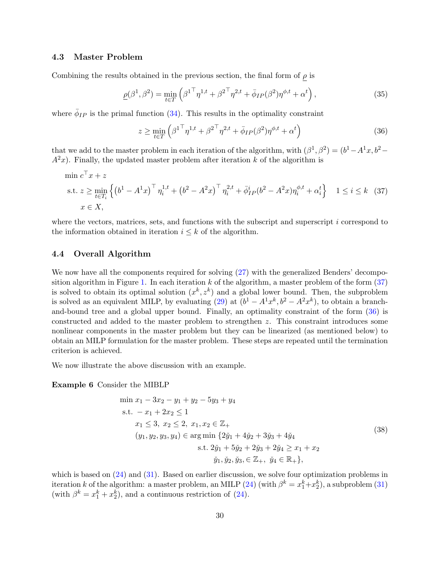#### 4.3 Master Problem

Combining the results obtained in the previous section, the final form of  $\rho$  is

<span id="page-29-4"></span>
$$
\underline{\rho}(\beta^1, \beta^2) = \min_{t \in T} \left( \beta^{1\top} \eta^{1,t} + \beta^{2\top} \eta^{2,t} + \bar{\phi}_{IP}(\beta^2) \eta^{\phi,t} + \alpha^t \right),\tag{35}
$$

where  $\bar{\phi}_{IP}$  is the primal function [\(34\)](#page-28-0). This results in the optimality constraint

<span id="page-29-1"></span>
$$
z \ge \min_{t \in T} \left( \beta^{1\top} \eta^{1,t} + \beta^{2\top} \eta^{2,t} + \bar{\phi}_{IP}(\beta^2) \eta^{\phi,t} + \alpha^t \right)
$$
(36)

that we add to the master problem in each iteration of the algorithm, with  $(\beta^1, \beta^2) = (b^1 - A^1 x, b^2 A^{2}x$ ). Finally, the updated master problem after iteration k of the algorithm is

<span id="page-29-0"></span>
$$
\min c^{\top} x + z
$$
\n
$$
\text{s.t. } z \ge \min_{t \in T_i} \left\{ \left( b^1 - A^1 x \right)^{\top} \eta_i^{1,t} + \left( b^2 - A^2 x \right)^{\top} \eta_i^{2,t} + \bar{\phi}_{IP}^i (b^2 - A^2 x) \eta_i^{\phi,t} + \alpha_i^t \right\} \quad 1 \le i \le k \tag{37}
$$
\n
$$
x \in X,
$$

where the vectors, matrices, sets, and functions with the subscript and superscript  $i$  correspond to the information obtained in iteration  $i \leq k$  of the algorithm.

#### 4.4 Overall Algorithm

We now have all the components required for solving  $(27)$  with the generalized Benders' decompo-sition algorithm in Figure [1.](#page-7-0) In each iteration k of the algorithm, a master problem of the form  $(37)$ is solved to obtain its optimal solution  $(x^k, z^k)$  and a global lower bound. Then, the subproblem is solved as an equivalent MILP, by evaluating [\(29\)](#page-23-1) at  $(b^1 - A^1 x^k, b^2 - A^2 x^k)$ , to obtain a branchand-bound tree and a global upper bound. Finally, an optimality constraint of the form [\(36\)](#page-29-1) is constructed and added to the master problem to strengthen z. This constraint introduces some nonlinear components in the master problem but they can be linearized (as mentioned below) to obtain an MILP formulation for the master problem. These steps are repeated until the termination criterion is achieved.

We now illustrate the above discussion with an example.

Example 6 Consider the MIBLP

<span id="page-29-3"></span><span id="page-29-2"></span>
$$
\min x_1 - 3x_2 - y_1 + y_2 - 5y_3 + y_4
$$
\n
$$
\text{s.t. } -x_1 + 2x_2 \le 1
$$
\n
$$
x_1 \le 3, \ x_2 \le 2, \ x_1, x_2 \in \mathbb{Z}_+
$$
\n
$$
(y_1, y_2, y_3, y_4) \in \arg\min \{ 2\check{y}_1 + 4\check{y}_2 + 3\check{y}_3 + 4\check{y}_4
$$
\n
$$
\text{s.t. } 2\check{y}_1 + 5\check{y}_2 + 2\check{y}_3 + 2\check{y}_4 \ge x_1 + x_2
$$
\n
$$
\check{y}_1, \check{y}_2, \check{y}_3, \in \mathbb{Z}_+, \ \check{y}_4 \in \mathbb{R}_+ \},
$$
\n
$$
(38)
$$

which is based on  $(24)$  and  $(31)$ . Based on earlier discussion, we solve four optimization problems in iteration k of the algorithm: a master problem, an MILP  $(24)$  (with  $\beta^k = x_1^k + x_2^k$ ), a subproblem  $(31)$ (with  $\beta^k = x_1^k + x_2^k$ ), and a continuous restriction of [\(24\)](#page-15-1).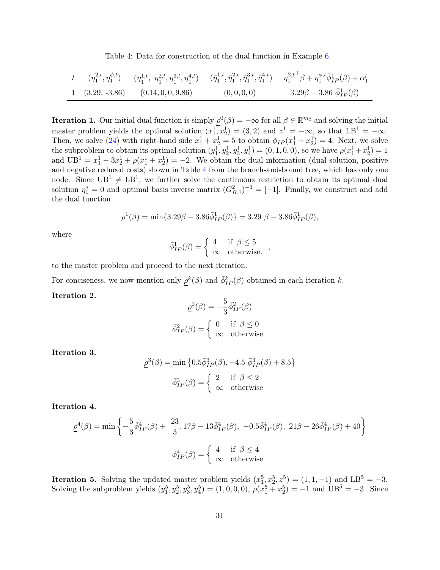Table 4: Data for construction of the dual function in Example [6.](#page-29-2)

<span id="page-30-0"></span>

|  |                                      |           | $t \qquad (\eta^{2,t}_1,\eta^{ \phi,t}_1) \qquad (\underline{\eta^{1,t}_1},\ \underline{\eta^{2,t}_1},\underline{\eta^{3,t}_1},\underline{\eta^{4,t}_1}) \qquad (\bar{\eta}^{1,t}_1,\bar{\eta}^{2,t}_1,\bar{\eta}^{3,t}_1,\bar{\eta}^{4,t}_1) \qquad \eta^{2,t^\top}_1 \beta + \eta^{ \phi,t}_1 \bar{\phi}^1_{IP}(\beta) + \alpha^t_1$ |
|--|--------------------------------------|-----------|----------------------------------------------------------------------------------------------------------------------------------------------------------------------------------------------------------------------------------------------------------------------------------------------------------------------------------------|
|  | $(3.29, -3.86)$ $(0.14, 0, 0, 9.86)$ | (0,0,0,0) | $3.29\beta - 3.86 \bar{\phi}_{IP}^1(\beta)$                                                                                                                                                                                                                                                                                            |

**Iteration 1.** Our initial dual function is simply  $\rho^{0}(\beta) = -\infty$  for all  $\beta \in \mathbb{R}^{m_2}$  and solving the initial master problem yields the optimal solution  $(x_1^1, x_2^1) = (3, 2)$  and  $z^1 = -\infty$ , so that  $LB^1 = -\infty$ . Then, we solve [\(24\)](#page-15-1) with right-hand side  $x_1^1 + x_2^1 = 5$  to obtain  $\phi_{IP}(x_1^1 + x_2^1) = 4$ . Next, we solve the subproblem to obtain its optimal solution  $(y_1^1, y_2^1, y_3^1, y_4^1) = (0, 1, 0, 0)$ , so we have  $\rho(x_1^1 + x_2^1) = 1$ and  $UB^1 = x_1^1 - 3x_2^1 + \rho(x_1^1 + x_2^1) = -2$ . We obtain the dual information (dual solution, positive and negative reduced costs) shown in Table [4](#page-30-0) from the branch-and-bound tree, which has only one node. Since  $UB^1 \neq LB^1$ , we further solve the continuous restriction to obtain its optimal dual solution  $\eta_1^* = 0$  and optimal basis inverse matrix  $(G_{B,1}^2)^{-1} = [-1]$ . Finally, we construct and add the dual function

$$
\underline{\rho}^{1}(\beta) = \min\{3.29\beta - 3.86\overline{\phi}^{1}_{IP}(\beta)\} = 3.29 \ \beta - 3.86\overline{\phi}^{1}_{IP}(\beta),
$$

where

$$
\bar{\phi}_{IP}^1(\beta) = \begin{cases} 4 & \text{if } \beta \le 5 \\ \infty & \text{otherwise.} \end{cases}
$$

to the master problem and proceed to the next iteration.

For conciseness, we now mention only  $\underline{\rho}^k(\beta)$  and  $\overline{\phi}_{IP}^k(\beta)$  obtained in each iteration k.

#### Iteration 2.

$$
\underline{\rho}^{2}(\beta) = -\frac{5}{3}\overline{\phi}_{IP}^{2}(\beta)
$$

$$
\overline{\phi}_{IP}^{2}(\beta) = \begin{cases} 0 & \text{if } \beta \leq 0\\ \infty & \text{otherwise} \end{cases}
$$

Iteration 3.

$$
\underline{\rho}^{3}(\beta) = \min \left\{ 0.5 \overline{\phi}_{IP}^{3}(\beta), -4.5 \overline{\phi}_{IP}^{3}(\beta) + 8.5 \right\}
$$

$$
\overline{\phi}_{IP}^{3}(\beta) = \begin{cases} 2 & \text{if } \beta \le 2\\ \infty & \text{otherwise} \end{cases}
$$

Iteration 4.

$$
\underline{\rho}^4(\beta) = \min\left\{-\frac{5}{3}\overline{\phi}_{IP}^4(\beta) + \frac{23}{3}, 17\beta - 13\overline{\phi}_{IP}^4(\beta), -0.5\overline{\phi}_{IP}^4(\beta), 21\beta - 26\overline{\phi}_{IP}^4(\beta) + 40\right\}
$$

$$
\overline{\phi}_{IP}^4(\beta) = \begin{cases} 4 & \text{if } \beta \le 4\\ \infty & \text{otherwise} \end{cases}
$$

**Iteration 5.** Solving the updated master problem yields  $(x_1^5, x_2^5, z_3^5) = (1, 1, -1)$  and  $LB^5 = -3$ . Solving the subproblem yields  $(y_1^5, y_2^5, y_3^5, y_4^5) = (1, 0, 0, 0), \rho(x_1^5 + x_2^5) = -1$  and  $UB^5 = -3$ . Since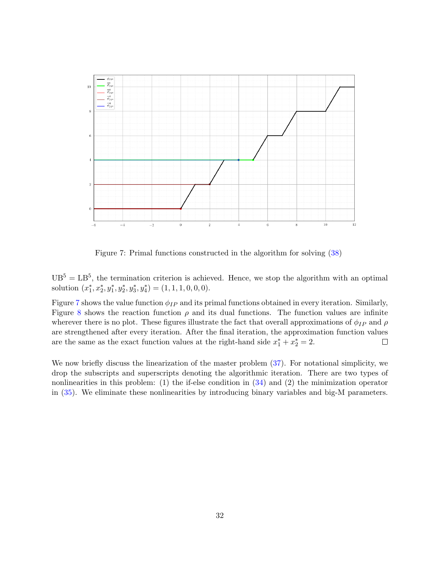<span id="page-31-0"></span>

Figure 7: Primal functions constructed in the algorithm for solving [\(38\)](#page-29-3)

 $UB<sup>5</sup> = LB<sup>5</sup>$ , the termination criterion is achieved. Hence, we stop the algorithm with an optimal solution  $(x_1^*, x_2^*, y_1^*, y_2^*, y_3^*, y_4^*) = (1, 1, 1, 0, 0, 0).$ 

Figure [7](#page-31-0) shows the value function  $\phi_{IP}$  and its primal functions obtained in every iteration. Similarly, Figure [8](#page-32-0) shows the reaction function  $\rho$  and its dual functions. The function values are infinite wherever there is no plot. These figures illustrate the fact that overall approximations of  $\phi_{IP}$  and  $\rho$ are strengthened after every iteration. After the final iteration, the approximation function values are the same as the exact function values at the right-hand side  $x_1^* + x_2^* = 2$ .  $\Box$ 

We now briefly discuss the linearization of the master problem [\(37\)](#page-29-0). For notational simplicity, we drop the subscripts and superscripts denoting the algorithmic iteration. There are two types of nonlinearities in this problem: (1) the if-else condition in  $(34)$  and  $(2)$  the minimization operator in [\(35\)](#page-29-4). We eliminate these nonlinearities by introducing binary variables and big-M parameters.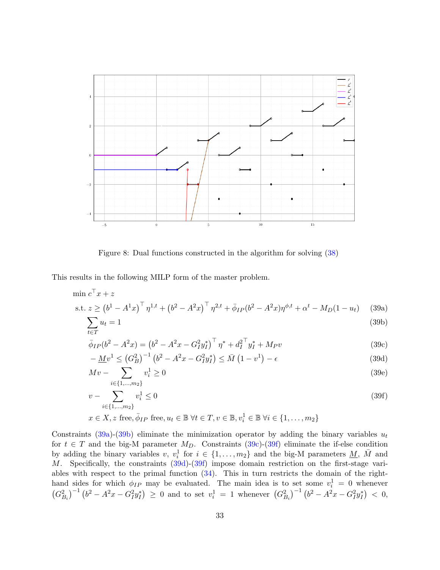<span id="page-32-0"></span>

<span id="page-32-2"></span><span id="page-32-1"></span>Figure 8: Dual functions constructed in the algorithm for solving [\(38\)](#page-29-3)

This results in the following MILP form of the master problem.

$$
\min c^{\top} x + z
$$
  
s.t.  $z \ge (b^1 - A^1 x)^{\top} \eta^{1,t} + (b^2 - A^2 x)^{\top} \eta^{2,t} + \bar{\phi}_{IP}(b^2 - A^2 x) \eta^{\phi,t} + \alpha^t - M_D(1 - u_t)$  (39a)

$$
\sum u_t = 1 \tag{39b}
$$

$$
t \in T
$$
  
\n
$$
\bar{\phi}_{IP}(b^2 - A^2x) = (b^2 - A^2x - G_I^2y_I^*)^\top \eta^* + d_I^{2\top}y_I^* + M_Pv
$$
\n(39c)

<span id="page-32-5"></span><span id="page-32-3"></span>
$$
-\underline{M}v^{1} \leq (G_{B}^{2})^{-1} \left(b^{2} - A^{2}x - G_{I}^{2}y_{I}^{*}\right) \leq \bar{M}\left(1 - v^{1}\right) - \epsilon
$$
\n(39d)

$$
Mv - \sum_{i \in \{1, \dots, m_2\}} v_i^1 \ge 0
$$
\n(39e)

<span id="page-32-4"></span>
$$
v - \sum_{i \in \{1, \dots, m_2\}} v_i^1 \le 0
$$
\n
$$
v_i \le \sum_{i \in \{1, \dots, m_2\}} v_i^1 \le 0
$$
\n
$$
(39f)
$$

$$
x \in X, z \text{ free}, \overline{\phi}_{IP} \text{ free}, u_t \in \mathbb{B} \; \forall t \in T, v \in \mathbb{B}, v_i^1 \in \mathbb{B} \; \forall i \in \{1, \dots, m_2\}
$$

Constraints [\(39a\)](#page-32-1)-[\(39b\)](#page-32-2) eliminate the minimization operator by adding the binary variables  $u_t$ for  $t \in T$  and the big-M parameter  $M_D$ . Constraints [\(39c\)](#page-32-3)-[\(39f\)](#page-32-4) eliminate the if-else condition by adding the binary variables v,  $v_i^1$  for  $i \in \{1, ..., m_2\}$  and the big-M parameters  $\underline{M}$ ,  $\overline{M}$  and M. Specifically, the constraints  $(39d)-(39f)$  $(39d)-(39f)$  $(39d)-(39f)$  impose domain restriction on the first-stage variables with respect to the primal function  $(34)$ . This in turn restricts the domain of the righthand sides for which  $\phi_{IP}$  may be evaluated. The main idea is to set some  $v_i^1 = 0$  whenever  $(G_{B_i}^2)^{-1} (b^2 - A^2x - G_I^2y_I^*) \geq 0$  and to set  $v_i^1 = 1$  whenever  $(G_{B_i}^2)^{-1} (b^2 - A^2x - G_I^2y_I^*) < 0$ ,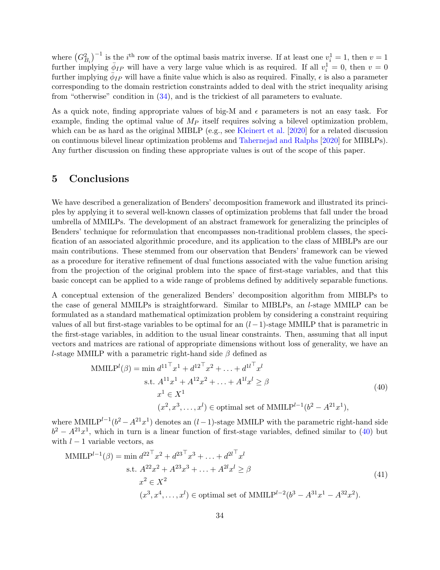where  $(G_{B_i}^2)^{-1}$  is the *i*<sup>th</sup> row of the optimal basis matrix inverse. If at least one  $v_i^1 = 1$ , then  $v = 1$ further implying  $\bar{\phi}_{IP}$  will have a very large value which is as required. If all  $v_i^1 = 0$ , then  $v = 0$ further implying  $\phi_{IP}$  will have a finite value which is also as required. Finally,  $\epsilon$  is also a parameter corresponding to the domain restriction constraints added to deal with the strict inequality arising from "otherwise" condition in [\(34\)](#page-28-0), and is the trickiest of all parameters to evaluate.

As a quick note, finding appropriate values of big-M and  $\epsilon$  parameters is not an easy task. For example, finding the optimal value of  $M_P$  itself requires solving a bilevel optimization problem, which can be as hard as the original MIBLP (e.g., see [Kleinert et al.](#page-37-14) [\[2020\]](#page-37-14) for a related discussion on continuous bilevel linear optimization problems and [Tahernejad and Ralphs](#page-38-15) [\[2020\]](#page-38-15) for MIBLPs). Any further discussion on finding these appropriate values is out of the scope of this paper.

## <span id="page-33-0"></span>5 Conclusions

We have described a generalization of Benders' decomposition framework and illustrated its principles by applying it to several well-known classes of optimization problems that fall under the broad umbrella of MMILPs. The development of an abstract framework for generalizing the principles of Benders' technique for reformulation that encompasses non-traditional problem classes, the specification of an associated algorithmic procedure, and its application to the class of MIBLPs are our main contributions. These stemmed from our observation that Benders' framework can be viewed as a procedure for iterative refinement of dual functions associated with the value function arising from the projection of the original problem into the space of first-stage variables, and that this basic concept can be applied to a wide range of problems defined by additively separable functions.

A conceptual extension of the generalized Benders' decomposition algorithm from MIBLPs to the case of general MMILPs is straightforward. Similar to MIBLPs, an l-stage MMILP can be formulated as a standard mathematical optimization problem by considering a constraint requiring values of all but first-stage variables to be optimal for an  $(l-1)$ -stage MMILP that is parametric in the first-stage variables, in addition to the usual linear constraints. Then, assuming that all input vectors and matrices are rational of appropriate dimensions without loss of generality, we have an l-stage MMILP with a parametric right-hand side  $\beta$  defined as

<span id="page-33-1"></span>
$$
\text{MMILP}^{l}(\beta) = \min d^{11 \top} x^{1} + d^{12 \top} x^{2} + \dots + d^{1l \top} x^{l}
$$
\n
$$
\text{s.t. } A^{11} x^{1} + A^{12} x^{2} + \dots + A^{1l} x^{l} \ge \beta
$$
\n
$$
x^{1} \in X^{1}
$$
\n
$$
(x^{2}, x^{3}, \dots, x^{l}) \in \text{optimal set of MMILP}^{l-1}(b^{2} - A^{21} x^{1}),
$$
\n(40)

where MMIL $P^{l-1}(b^2 - A^{21}x^1)$  denotes an  $(l-1)$ -stage MMILP with the parametric right-hand side  $b^2 - A^{21}x^1$ , which in turn is a linear function of first-stage variables, defined similar to [\(40\)](#page-33-1) but with  $l - 1$  variable vectors, as

<span id="page-33-2"></span>
$$
\text{MMILP}^{l-1}(\beta) = \min d^{22 \top} x^2 + d^{23 \top} x^3 + \dots + d^{2l \top} x^l
$$
\n
$$
\text{s.t. } A^{22} x^2 + A^{23} x^3 + \dots + A^{2l} x^l \ge \beta
$$
\n
$$
x^2 \in X^2
$$
\n
$$
(x^3, x^4, \dots, x^l) \in \text{optimal set of MMILP}^{l-2}(b^3 - A^{31} x^1 - A^{32} x^2).
$$
\n
$$
(41)
$$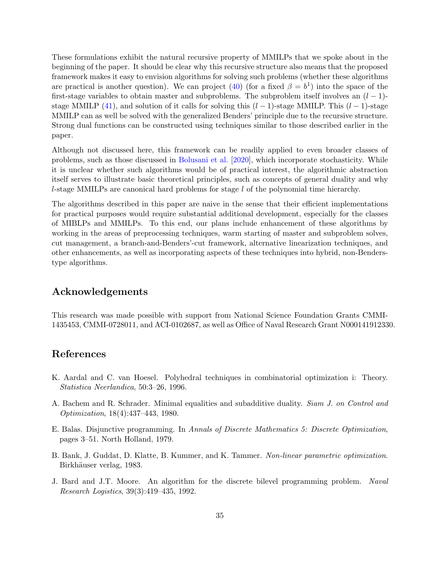These formulations exhibit the natural recursive property of MMILPs that we spoke about in the beginning of the paper. It should be clear why this recursive structure also means that the proposed framework makes it easy to envision algorithms for solving such problems (whether these algorithms are practical is another question). We can project [\(40\)](#page-33-1) (for a fixed  $\beta = b^1$ ) into the space of the first-stage variables to obtain master and subproblems. The subproblem itself involves an  $(l-1)$ -stage MMILP [\(41\)](#page-33-2), and solution of it calls for solving this  $(l-1)$ -stage MMILP. This  $(l-1)$ -stage MMILP can as well be solved with the generalized Benders' principle due to the recursive structure. Strong dual functions can be constructed using techniques similar to those described earlier in the paper.

Although not discussed here, this framework can be readily applied to even broader classes of problems, such as those discussed in [Bolusani et al.](#page-35-1) [\[2020\]](#page-35-1), which incorporate stochasticity. While it is unclear whether such algorithms would be of practical interest, the algorithmic abstraction itself serves to illustrate basic theoretical principles, such as concepts of general duality and why l-stage MMILPs are canonical hard problems for stage  $l$  of the polynomial time hierarchy.

The algorithms described in this paper are naive in the sense that their efficient implementations for practical purposes would require substantial additional development, especially for the classes of MIBLPs and MMILPs. To this end, our plans include enhancement of these algorithms by working in the areas of preprocessing techniques, warm starting of master and subproblem solves, cut management, a branch-and-Benders'-cut framework, alternative linearization techniques, and other enhancements, as well as incorporating aspects of these techniques into hybrid, non-Benderstype algorithms.

## Acknowledgements

This research was made possible with support from National Science Foundation Grants CMMI-1435453, CMMI-0728011, and ACI-0102687, as well as Office of Naval Research Grant N000141912330.

## References

- <span id="page-34-0"></span>K. Aardal and C. van Hoesel. Polyhedral techniques in combinatorial optimization i: Theory. Statistica Neerlandica, 50:3–26, 1996.
- <span id="page-34-2"></span>A. Bachem and R. Schrader. Minimal equalities and subadditive duality. Siam J. on Control and Optimization, 18(4):437–443, 1980.
- <span id="page-34-1"></span>E. Balas. Disjunctive programming. In Annals of Discrete Mathematics 5: Discrete Optimization, pages 3–51. North Holland, 1979.
- <span id="page-34-3"></span>B. Bank, J. Guddat, D. Klatte, B. Kummer, and K. Tammer. Non-linear parametric optimization. Birkhäuser verlag, 1983.
- <span id="page-34-4"></span>J. Bard and J.T. Moore. An algorithm for the discrete bilevel programming problem. Naval Research Logistics, 39(3):419–435, 1992.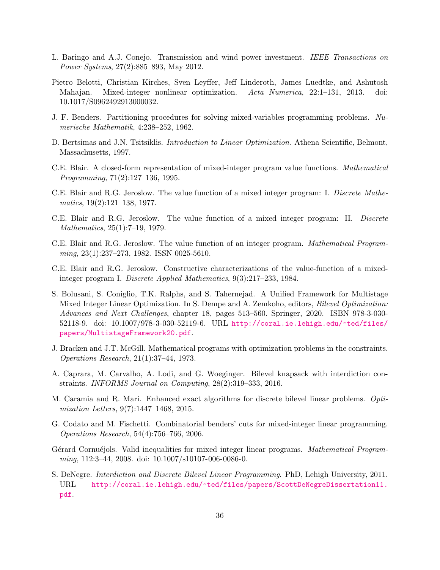- <span id="page-35-14"></span>L. Baringo and A.J. Conejo. Transmission and wind power investment. IEEE Transactions on Power Systems, 27(2):885–893, May 2012.
- <span id="page-35-3"></span>Pietro Belotti, Christian Kirches, Sven Leyffer, Jeff Linderoth, James Luedtke, and Ashutosh Mahajan. Mixed-integer nonlinear optimization. Acta Numerica, 22:1–131, 2013. doi: 10.1017/S0962492913000032.
- <span id="page-35-0"></span>J. F. Benders. Partitioning procedures for solving mixed-variables programming problems. Numerische Mathematik, 4:238–252, 1962.
- <span id="page-35-5"></span>D. Bertsimas and J.N. Tsitsiklis. *Introduction to Linear Optimization*. Athena Scientific, Belmont, Massachusetts, 1997.
- <span id="page-35-10"></span>C.E. Blair. A closed-form representation of mixed-integer program value functions. Mathematical Programming, 71(2):127–136, 1995.
- <span id="page-35-6"></span>C.E. Blair and R.G. Jeroslow. The value function of a mixed integer program: I. Discrete Mathematics, 19(2):121–138, 1977.
- <span id="page-35-7"></span>C.E. Blair and R.G. Jeroslow. The value function of a mixed integer program: II. Discrete Mathematics, 25(1):7–19, 1979.
- <span id="page-35-8"></span>C.E. Blair and R.G. Jeroslow. The value function of an integer program. Mathematical Programming, 23(1):237–273, 1982. ISSN 0025-5610.
- <span id="page-35-9"></span>C.E. Blair and R.G. Jeroslow. Constructive characterizations of the value-function of a mixedinteger program I. Discrete Applied Mathematics, 9(3):217–233, 1984.
- <span id="page-35-1"></span>S. Bolusani, S. Coniglio, T.K. Ralphs, and S. Tahernejad. A Unified Framework for Multistage Mixed Integer Linear Optimization. In S. Dempe and A. Zemkoho, editors, *Bilevel Optimization:* Advances and Next Challenges, chapter 18, pages 513–560. Springer, 2020. ISBN 978-3-030- 52118-9. doi: 10.1007/978-3-030-52119-6. URL [http://coral.ie.lehigh.edu/~ted/files/](http://coral.ie.lehigh.edu/~ted/files/papers/MultistageFramework20.pdf) [papers/MultistageFramework20.pdf](http://coral.ie.lehigh.edu/~ted/files/papers/MultistageFramework20.pdf).
- <span id="page-35-11"></span>J. Bracken and J.T. McGill. Mathematical programs with optimization problems in the constraints. Operations Research, 21(1):37–44, 1973.
- <span id="page-35-12"></span>A. Caprara, M. Carvalho, A. Lodi, and G. Woeginger. Bilevel knapsack with interdiction constraints. INFORMS Journal on Computing, 28(2):319–333, 2016.
- <span id="page-35-15"></span>M. Caramia and R. Mari. Enhanced exact algorithms for discrete bilevel linear problems. Optimization Letters, 9(7):1447–1468, 2015.
- <span id="page-35-4"></span>G. Codato and M. Fischetti. Combinatorial benders' cuts for mixed-integer linear programming. Operations Research, 54(4):756–766, 2006.
- <span id="page-35-2"></span>Gérard Cornuéjols. Valid inequalities for mixed integer linear programs. Mathematical Programming, 112:3–44, 2008. doi: 10.1007/s10107-006-0086-0.
- <span id="page-35-13"></span>S. DeNegre. Interdiction and Discrete Bilevel Linear Programming. PhD, Lehigh University, 2011. URL [http://coral.ie.lehigh.edu/~ted/files/papers/ScottDeNegreDissertation11.](http://coral.ie.lehigh.edu/~ted/files/papers/ScottDeNegreDissertation11.pdf) [pdf](http://coral.ie.lehigh.edu/~ted/files/papers/ScottDeNegreDissertation11.pdf).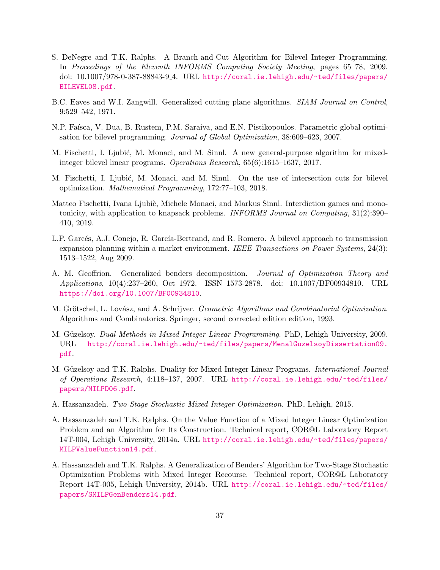- <span id="page-36-11"></span>S. DeNegre and T.K. Ralphs. A Branch-and-Cut Algorithm for Bilevel Integer Programming. In Proceedings of the Eleventh INFORMS Computing Society Meeting, pages 65–78, 2009. doi: 10.1007/978-0-387-88843-9 4. URL [http://coral.ie.lehigh.edu/~ted/files/papers/](http://coral.ie.lehigh.edu/~ted/files/papers/BILEVEL08.pdf) [BILEVEL08.pdf](http://coral.ie.lehigh.edu/~ted/files/papers/BILEVEL08.pdf).
- <span id="page-36-3"></span>B.C. Eaves and W.I. Zangwill. Generalized cutting plane algorithms. SIAM Journal on Control, 9:529–542, 1971.
- <span id="page-36-9"></span>N.P. Faísca, V. Dua, B. Rustem, P.M. Saraiva, and E.N. Pistikopoulos. Parametric global optimisation for bilevel programming. Journal of Global Optimization, 38:609–623, 2007.
- <span id="page-36-12"></span>M. Fischetti, I. Ljubić, M. Monaci, and M. Sinnl. A new general-purpose algorithm for mixedinteger bilevel linear programs. Operations Research, 65(6):1615–1637, 2017.
- <span id="page-36-13"></span>M. Fischetti, I. Ljubić, M. Monaci, and M. Sinnl. On the use of intersection cuts for bilevel optimization. Mathematical Programming, 172:77–103, 2018.
- <span id="page-36-4"></span>Matteo Fischetti, Ivana Ljubic, Michele Monaci, and Markus Sinnl. Interdiction games and monotonicity, with application to knapsack problems. INFORMS Journal on Computing, 31(2):390– 410, 2019.
- <span id="page-36-10"></span>L.P. Garcés, A.J. Conejo, R. García-Bertrand, and R. Romero. A bilevel approach to transmission expansion planning within a market environment. IEEE Transactions on Power Systems, 24(3): 1513–1522, Aug 2009.
- <span id="page-36-0"></span>A. M. Geoffrion. Generalized benders decomposition. Journal of Optimization Theory and Applications, 10(4):237–260, Oct 1972. ISSN 1573-2878. doi: 10.1007/BF00934810. URL <https://doi.org/10.1007/BF00934810>.
- <span id="page-36-2"></span>M. Grötschel, L. Lovász, and A. Schrijver. Geometric Algorithms and Combinatorial Optimization. Algorithms and Combinatorics. Springer, second corrected edition edition, 1993.
- <span id="page-36-6"></span>M. Güzelsoy. Dual Methods in Mixed Integer Linear Programming. PhD, Lehigh University, 2009. URL [http://coral.ie.lehigh.edu/~ted/files/papers/MenalGuzelsoyDissertation09.](http://coral.ie.lehigh.edu/~ted/files/papers/MenalGuzelsoyDissertation09.pdf) [pdf](http://coral.ie.lehigh.edu/~ted/files/papers/MenalGuzelsoyDissertation09.pdf).
- <span id="page-36-1"></span>M. Güzelsoy and T.K. Ralphs. Duality for Mixed-Integer Linear Programs. *International Journal* of Operations Research, 4:118–137, 2007. URL [http://coral.ie.lehigh.edu/~ted/files/](http://coral.ie.lehigh.edu/~ted/files/papers/MILPD06.pdf) [papers/MILPD06.pdf](http://coral.ie.lehigh.edu/~ted/files/papers/MILPD06.pdf).
- <span id="page-36-8"></span>A. Hassanzadeh. Two-Stage Stochastic Mixed Integer Optimization. PhD, Lehigh, 2015.
- <span id="page-36-7"></span>A. Hassanzadeh and T.K. Ralphs. On the Value Function of a Mixed Integer Linear Optimization Problem and an Algorithm for Its Construction. Technical report, COR@L Laboratory Report 14T-004, Lehigh University, 2014a. URL [http://coral.ie.lehigh.edu/~ted/files/papers/](http://coral.ie.lehigh.edu/~ted/files/papers/MILPValueFunction14.pdf) [MILPValueFunction14.pdf](http://coral.ie.lehigh.edu/~ted/files/papers/MILPValueFunction14.pdf).
- <span id="page-36-5"></span>A. Hassanzadeh and T.K. Ralphs. A Generalization of Benders' Algorithm for Two-Stage Stochastic Optimization Problems with Mixed Integer Recourse. Technical report, COR@L Laboratory Report 14T-005, Lehigh University, 2014b. URL [http://coral.ie.lehigh.edu/~ted/files/](http://coral.ie.lehigh.edu/~ted/files/papers/SMILPGenBenders14.pdf) [papers/SMILPGenBenders14.pdf](http://coral.ie.lehigh.edu/~ted/files/papers/SMILPGenBenders14.pdf).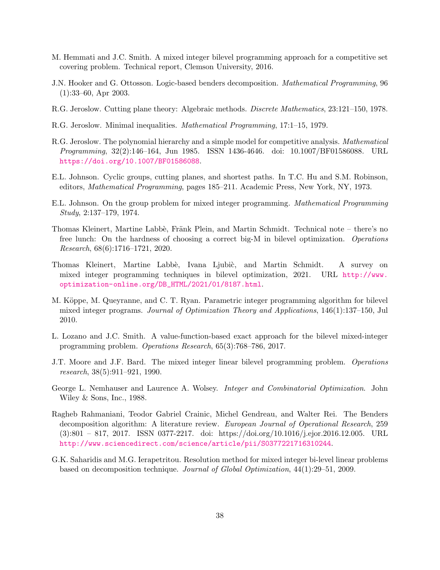- <span id="page-37-13"></span>M. Hemmati and J.C. Smith. A mixed integer bilevel programming approach for a competitive set covering problem. Technical report, Clemson University, 2016.
- <span id="page-37-1"></span>J.N. Hooker and G. Ottosson. Logic-based benders decomposition. Mathematical Programming, 96 (1):33–60, Apr 2003.
- <span id="page-37-7"></span>R.G. Jeroslow. Cutting plane theory: Algebraic methods. Discrete Mathematics, 23:121–150, 1978.
- <span id="page-37-8"></span>R.G. Jeroslow. Minimal inequalities. Mathematical Programming, 17:1–15, 1979.
- <span id="page-37-0"></span>R.G. Jeroslow. The polynomial hierarchy and a simple model for competitive analysis. Mathematical Programming, 32(2):146–164, Jun 1985. ISSN 1436-4646. doi: 10.1007/BF01586088. URL <https://doi.org/10.1007/BF01586088>.
- <span id="page-37-5"></span>E.L. Johnson. Cyclic groups, cutting planes, and shortest paths. In T.C. Hu and S.M. Robinson, editors, Mathematical Programming, pages 185–211. Academic Press, New York, NY, 1973.
- <span id="page-37-6"></span>E.L. Johnson. On the group problem for mixed integer programming. Mathematical Programming Study, 2:137–179, 1974.
- <span id="page-37-14"></span>Thomas Kleinert, Martine Labbè, Fränk Plein, and Martin Schmidt. Technical note – there's no free lunch: On the hardness of choosing a correct big-M in bilevel optimization. Operations Research, 68(6):1716–1721, 2020.
- <span id="page-37-3"></span>Thomas Kleinert, Martine Labbè, Ivana Ljubiè, and Martin Schmidt. A survey on mixed integer programming techniques in bilevel optimization, 2021. URL [http://www.](http://www.optimization-online.org/DB_HTML/2021/01/8187.html) [optimization-online.org/DB\\_HTML/2021/01/8187.html](http://www.optimization-online.org/DB_HTML/2021/01/8187.html).
- <span id="page-37-12"></span>M. Köppe, M. Queyranne, and C. T. Ryan. Parametric integer programming algorithm for bilevel mixed integer programs. Journal of Optimization Theory and Applications, 146(1):137–150, Jul 2010.
- <span id="page-37-11"></span>L. Lozano and J.C. Smith. A value-function-based exact approach for the bilevel mixed-integer programming problem. Operations Research, 65(3):768–786, 2017.
- <span id="page-37-9"></span>J.T. Moore and J.F. Bard. The mixed integer linear bilevel programming problem. Operations research, 38(5):911–921, 1990.
- <span id="page-37-2"></span>George L. Nemhauser and Laurence A. Wolsey. *Integer and Combinatorial Optimization*. John Wiley & Sons, Inc., 1988.
- <span id="page-37-4"></span>Ragheb Rahmaniani, Teodor Gabriel Crainic, Michel Gendreau, and Walter Rei. The Benders decomposition algorithm: A literature review. European Journal of Operational Research, 259 (3):801 – 817, 2017. ISSN 0377-2217. doi: https://doi.org/10.1016/j.ejor.2016.12.005. URL <http://www.sciencedirect.com/science/article/pii/S0377221716310244>.
- <span id="page-37-10"></span>G.K. Saharidis and M.G. Ierapetritou. Resolution method for mixed integer bi-level linear problems based on decomposition technique. Journal of Global Optimization, 44(1):29–51, 2009.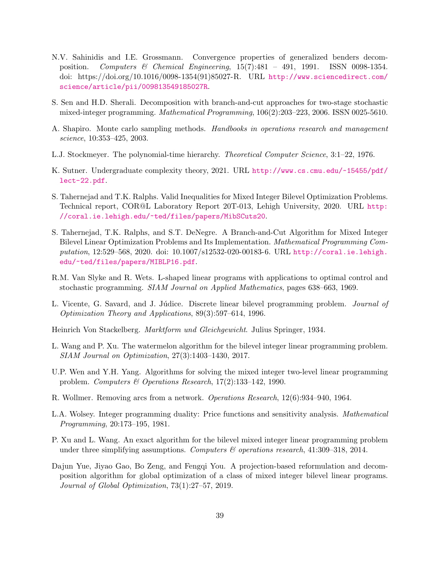- <span id="page-38-2"></span>N.V. Sahinidis and I.E. Grossmann. Convergence properties of generalized benders decomposition. Computers & Chemical Engineering, 15(7):481 – 491, 1991. ISSN 0098-1354. doi: https://doi.org/10.1016/0098-1354(91)85027-R. URL [http://www.sciencedirect.com/](http://www.sciencedirect.com/science/article/pii/009813549185027R) [science/article/pii/009813549185027R](http://www.sciencedirect.com/science/article/pii/009813549185027R).
- <span id="page-38-4"></span>S. Sen and H.D. Sherali. Decomposition with branch-and-cut approaches for two-stage stochastic mixed-integer programming. Mathematical Programming, 106(2):203–223, 2006. ISSN 0025-5610.
- <span id="page-38-7"></span>A. Shapiro. Monte carlo sampling methods. Handbooks in operations research and management science, 10:353–425, 2003.
- <span id="page-38-0"></span>L.J. Stockmeyer. The polynomial-time hierarchy. Theoretical Computer Science, 3:1–22, 1976.
- <span id="page-38-1"></span>K. Sutner. Undergraduate complexity theory, 2021. URL [http://www.cs.cmu.edu/~15455/pdf/](http://www.cs.cmu.edu/~15455/pdf/lect-22.pdf) [lect-22.pdf](http://www.cs.cmu.edu/~15455/pdf/lect-22.pdf).
- <span id="page-38-15"></span>S. Tahernejad and T.K. Ralphs. Valid Inequalities for Mixed Integer Bilevel Optimization Problems. Technical report, COR@L Laboratory Report 20T-013, Lehigh University, 2020. URL [http:](http://coral.ie.lehigh.edu/~ted/files/papers/MibSCuts20) [//coral.ie.lehigh.edu/~ted/files/papers/MibSCuts20](http://coral.ie.lehigh.edu/~ted/files/papers/MibSCuts20).
- <span id="page-38-5"></span>S. Tahernejad, T.K. Ralphs, and S.T. DeNegre. A Branch-and-Cut Algorithm for Mixed Integer Bilevel Linear Optimization Problems and Its Implementation. Mathematical Programming Computation, 12:529–568, 2020. doi: 10.1007/s12532-020-00183-6. URL [http://coral.ie.lehigh.](http://coral.ie.lehigh.edu/~ted/files/papers/MIBLP16.pdf) [edu/~ted/files/papers/MIBLP16.pdf](http://coral.ie.lehigh.edu/~ted/files/papers/MIBLP16.pdf).
- <span id="page-38-6"></span>R.M. Van Slyke and R. Wets. L-shaped linear programs with applications to optimal control and stochastic programming. SIAM Journal on Applied Mathematics, pages 638–663, 1969.
- <span id="page-38-14"></span>L. Vicente, G. Savard, and J. Júdice. Discrete linear bilevel programming problem. *Journal of* Optimization Theory and Applications, 89(3):597–614, 1996.
- <span id="page-38-8"></span>Heinrich Von Stackelberg. Marktform und Gleichgewicht. Julius Springer, 1934.
- <span id="page-38-13"></span>L. Wang and P. Xu. The watermelon algorithm for the bilevel integer linear programming problem. SIAM Journal on Optimization, 27(3):1403–1430, 2017.
- <span id="page-38-11"></span>U.P. Wen and Y.H. Yang. Algorithms for solving the mixed integer two-level linear programming problem. Computers & Operations Research, 17(2):133–142, 1990.
- <span id="page-38-9"></span>R. Wollmer. Removing arcs from a network. Operations Research, 12(6):934–940, 1964.
- <span id="page-38-3"></span>L.A. Wolsey. Integer programming duality: Price functions and sensitivity analysis. Mathematical Programming, 20:173–195, 1981.
- <span id="page-38-12"></span>P. Xu and L. Wang. An exact algorithm for the bilevel mixed integer linear programming problem under three simplifying assumptions. Computers  $\mathcal B$  operations research, 41:309-318, 2014.
- <span id="page-38-10"></span>Dajun Yue, Jiyao Gao, Bo Zeng, and Fengqi You. A projection-based reformulation and decomposition algorithm for global optimization of a class of mixed integer bilevel linear programs. Journal of Global Optimization, 73(1):27–57, 2019.